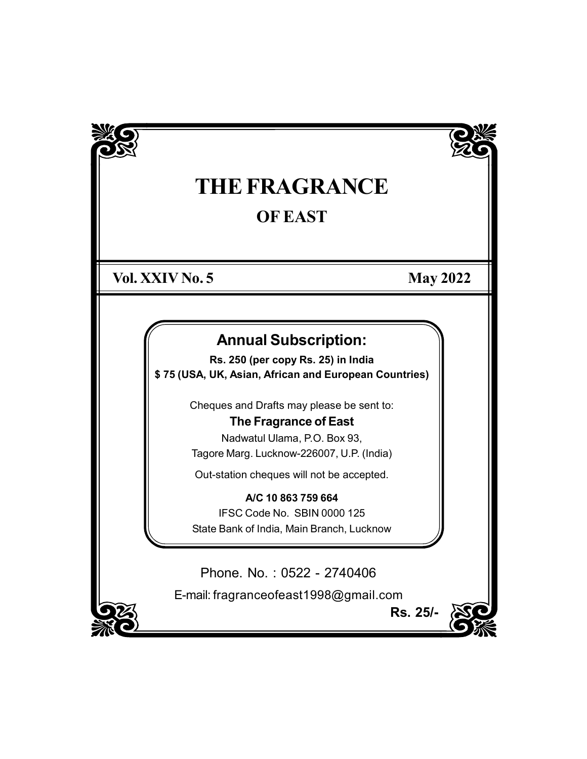

# THE FRAGRANCE OF EAST

Vol. XXIV No. 5 May 2022

Rs. 25/-

# Annual Subscription:

Rs. 250 (per copy Rs. 25) in India \$ 75 (USA, UK, Asian, African and European Countries)

Cheques and Drafts may please be sent to:

# The Fragrance of East

Nadwatul Ulama, P.O. Box 93, Tagore Marg. Lucknow-226007, U.P. (India)

Out-station cheques will not be accepted.

A/C 10 863 759 664 IFSC Code No. SBIN 0000 125 State Bank of India, Main Branch, Lucknow

Phone. No. : 0522 - 2740406

E-mail: fragranceofeast1998@gmail.com

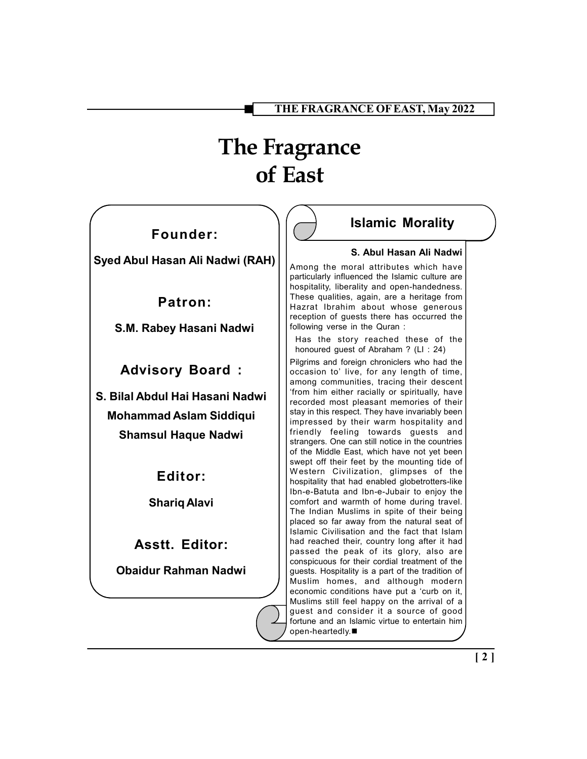# The Fragrance of East

# Founder:

Syed Abul Hasan Ali Nadwi (RAH)

Patron:

S.M. Rabey Hasani Nadwi

Advisory Board :

S. Bilal Abdul Hai Hasani Nadwi Mohammad Aslam Siddiqui Shamsul Haque Nadwi

Editor:

Shariq Alavi

Asstt. Editor:

Obaidur Rahman Nadwi

# Islamic Morality

#### S. Abul Hasan Ali Nadwi

Among the moral attributes which have particularly influenced the Islamic culture are hospitality, liberality and open-handedness. These qualities, again, are a heritage from Hazrat Ibrahim about whose generous reception of guests there has occurred the following verse in the Quran :

Has the story reached these of the honoured guest of Abraham ? (LI : 24)

Pilgrims and foreign chroniclers who had the occasion to' live, for any length of time, among communities, tracing their descent 'from him either racially or spiritually, have recorded most pleasant memories of their stay in this respect. They have invariably been impressed by their warm hospitality and friendly feeling towards guests and strangers. One can still notice in the countries of the Middle East, which have not yet been swept off their feet by the mounting tide of W estern Civilization, glimpses of the hospitality that had enabled globetrotters-like Ibn-e-Batuta and Ibn-e-Jubair to enjoy the comfort and warmth of home during travel. The Indian Muslims in spite of their being placed so far away from the natural seat of Islamic Civilisation and the fact that Islam had reached their, country long after it had passed the peak of its glory, also are conspicuous for their cordial treatment of the guests. Hospitality is a part of the tradition of Muslim homes, and although modern economic conditions have put a 'curb on it, Muslims still feel happy on the arrival of a guest and consider it a source of good fortune and an Islamic virtue to entertain him open-heartedly.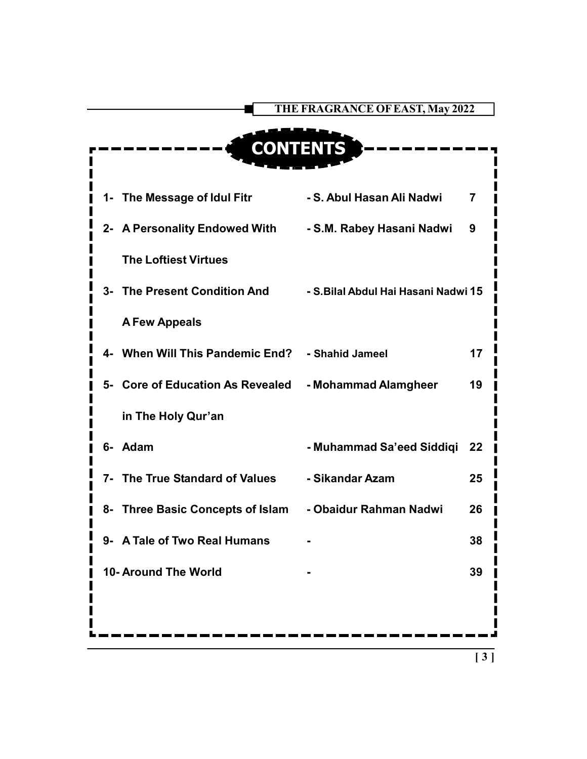|                                  | THE FRAGRANCE OF EAST, May 2022      |
|----------------------------------|--------------------------------------|
|                                  |                                      |
| <b>CONTENTS</b>                  |                                      |
|                                  |                                      |
| 1- The Message of Idul Fitr      | - S. Abul Hasan Ali Nadwi<br>7       |
| 2- A Personality Endowed With    | - S.M. Rabey Hasani Nadwi<br>9       |
| <b>The Loftiest Virtues</b>      |                                      |
| 3- The Present Condition And     | - S. Bilal Abdul Hai Hasani Nadwi 15 |
| <b>A Few Appeals</b>             |                                      |
| 4- When Will This Pandemic End?  | - Shahid Jameel<br>17                |
| 5- Core of Education As Revealed | - Mohammad Alamgheer<br>19           |
| in The Holy Qur'an               |                                      |
| 6- Adam                          | - Muhammad Sa'eed Siddiqi<br>22      |
| 7- The True Standard of Values   | - Sikandar Azam<br>25                |
| 8- Three Basic Concepts of Islam | - Obaidur Rahman Nadwi<br>26         |
| A Tale of Two Real Humans<br>9-  | 38                                   |
| 10- Around The World             | 39                                   |
|                                  |                                      |
|                                  |                                      |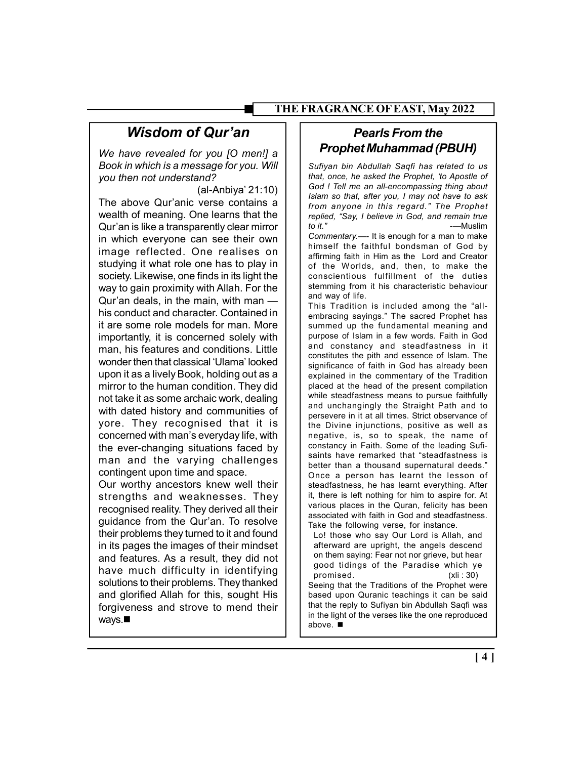# Wisdom of Qur'an

We have revealed for you [O men!] a Book in which is a message for you. Will you then not understand?

(al-Anbiya' 21:10)

The above Qur'anic verse contains a wealth of meaning. One learns that the Qur'an is like a transparently clear mirror in which everyone can see their own image reflected. One realises on studying it what role one has to play in society. Likewise, one finds in its light the way to gain proximity with Allah. For the Qur'an deals, in the main, with man his conduct and character. Contained in it are some role models for man. More importantly, it is concerned solely with man, his features and conditions. Little wonder then that classical 'Ulama' looked upon it as a lively Book, holding out as a mirror to the human condition. They did not take it as some archaic work, dealing with dated history and communities of yore. They recognised that it is concerned with man's everyday life, with the ever-changing situations faced by man and the varying challenges contingent upon time and space.

Our worthy ancestors knew well their strengths and weaknesses. They recognised reality. They derived all their guidance from the Qur'an. To resolve their problems they turned to it and found in its pages the images of their mindset and features. As a result, they did not have much difficulty in identifying solutions to their problems. They thanked and glorified Allah for this, sought His forgiveness and strove to mend their ways.

# Pearls From the Prophet Muhammad (PBUH)

Sufiyan bin Abdullah Saqfi has related to us that, once, he asked the Prophet, 'to Apostle of God ! Tell me an all-encompassing thing about Islam so that, after you, I may not have to ask from anyone in this regard." The Prophet replied, "Say, I believe in God, and remain true to it." -—Muslim

Commentary.—- It is enough for a man to make himself the faithful bondsman of God by affirming faith in Him as the Lord and Creator of the Worlds, and, then, to make the conscientious fulfillment of the duties stemming from it his characteristic behaviour and way of life.

This Tradition is included among the "allembracing sayings." The sacred Prophet has summed up the fundamental meaning and purpose of Islam in a few words. Faith in God and constancy and steadfastness in it constitutes the pith and essence of Islam. The significance of faith in God has already been explained in the commentary of the Tradition placed at the head of the present compilation while steadfastness means to pursue faithfully and unchangingly the Straight Path and to persevere in it at all times. Strict observance of the Divine injunctions, positive as well as negative, is, so to speak, the name of constancy in Faith. Some of the leading Sufisaints have remarked that "steadfastness is better than a thousand supernatural deeds." Once a person has learnt the lesson of steadfastness, he has learnt everything. After it, there is left nothing for him to aspire for. At various places in the Quran, felicity has been associated with faith in God and steadfastness. Take the following verse, for instance.

Lo! those who say Our Lord is Allah, and afterward are upright, the angels descend on them saying: Fear not nor grieve, but hear good tidings of the Paradise which ye promised. (xli : 30) Seeing that the Traditions of the Prophet were based upon Quranic teachings it can be said that the reply to Sufiyan bin Abdullah Saqfi was in the light of the verses like the one reproduced

above.

[ 4 ]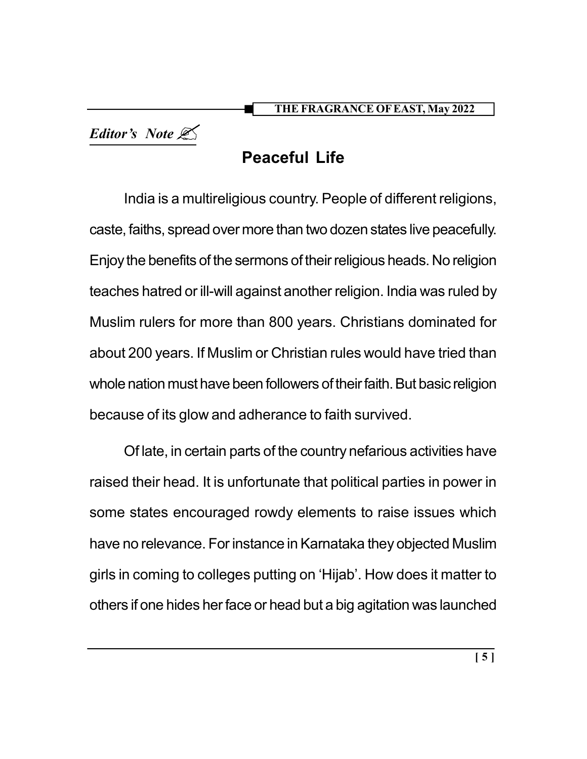Editor's Note

# Peaceful Life

India is a multireligious country. People of different religions, caste, faiths, spread over more than two dozen states live peacefully. Enjoy the benefits of the sermons of their religious heads. No religion teaches hatred or ill-will against another religion. India was ruled by Muslim rulers for more than 800 years. Christians dominated for about 200 years. If Muslim or Christian rules would have tried than whole nation must have been followers of their faith. But basic religion because of its glow and adherance to faith survived.

Of late, in certain parts of the country nefarious activities have raised their head. It is unfortunate that political parties in power in some states encouraged rowdy elements to raise issues which have no relevance. For instance in Karnataka they objected Muslim girls in coming to colleges putting on 'Hijab'. How does it matter to others if one hides her face or head but a big agitation was launched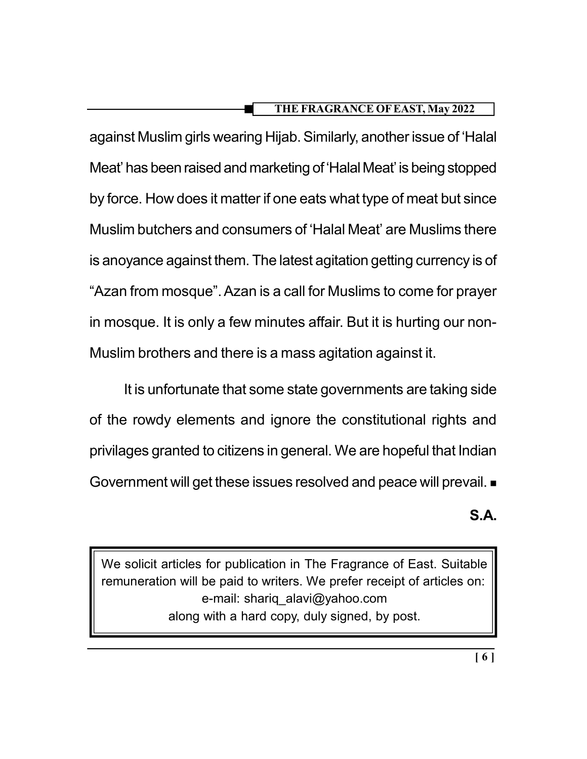against Muslim girls wearing Hijab. Similarly, another issue of 'Halal Meat' has been raised and marketing of 'Halal Meat' is being stopped by force. How does it matter if one eats what type of meat but since Muslim butchers and consumers of 'Halal Meat' are Muslims there is anoyance against them. The latest agitation getting currency is of "Azan from mosque". Azan is a call for Muslims to come for prayer in mosque. It is only a few minutes affair. But it is hurting our non-Muslim brothers and there is a mass agitation against it.

It is unfortunate that some state governments are taking side of the rowdy elements and ignore the constitutional rights and privilages granted to citizens in general. We are hopeful that Indian Government will get these issues resolved and peace will prevail.  $\blacksquare$ 

# S.A.

We solicit articles for publication in The Fragrance of East. Suitable remuneration will be paid to writers. We prefer receipt of articles on: e-mail: shariq\_alavi@yahoo.com along with a hard copy, duly signed, by post.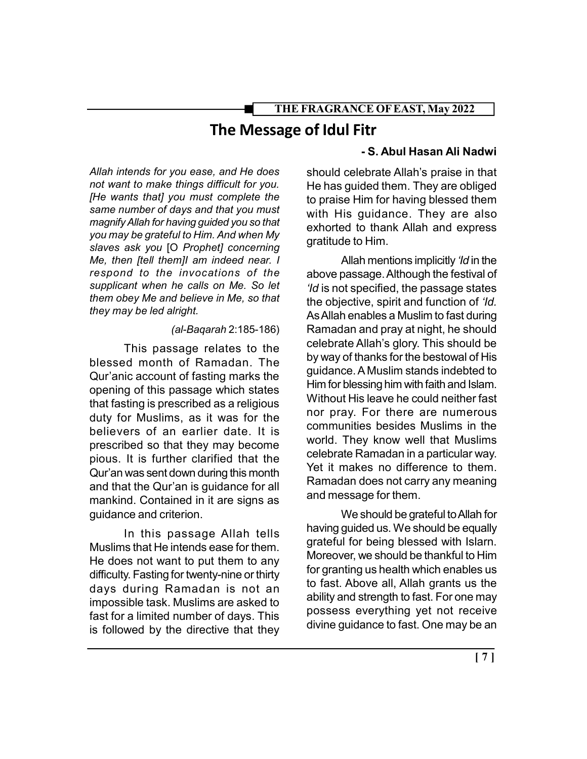# The Message of Idul Fitr

Allah intends for you ease, and He does not want to make things difficult for you. [He wants that] you must complete the same number of days and that you must magnify Allah for having guided you so that you may be grateful to Him. And when My slaves ask you [O Prophet] concerning Me, then [tell them]I am indeed near. I respond to the invocations of the supplicant when he calls on Me. So let them obey Me and believe in Me, so that they may be led alright.

#### (al-Baqarah 2:185-186)

This passage relates to the blessed month of Ramadan. The Qur'anic account of fasting marks the opening of this passage which states that fasting is prescribed as a religious duty for Muslims, as it was for the believers of an earlier date. It is prescribed so that they may become pious. It is further clarified that the Qur'an was sent down during this month and that the Qur'an is guidance for all mankind. Contained in it are signs as guidance and criterion.

In this passage Allah tells Muslims that He intends ease for them. He does not want to put them to any difficulty. Fasting for twenty-nine or thirty days during Ramadan is not an impossible task. Muslims are asked to fast for a limited number of days. This is followed by the directive that they

## - S. Abul Hasan Ali Nadwi

should celebrate Allah's praise in that He has guided them. They are obliged to praise Him for having blessed them with His guidance. They are also exhorted to thank Allah and express gratitude to Him.

Allah mentions implicitly '*Id* in the above passage. Although the festival of 'Id is not specified, the passage states the objective, spirit and function of 'Id. As Allah enables a Muslim to fast during Ramadan and pray at night, he should celebrate Allah's glory. This should be by way of thanks for the bestowal of His guidance. A Muslim stands indebted to Him for blessing him with faith and Islam. Without His leave he could neither fast nor pray. For there are numerous communities besides Muslims in the world. They know well that Muslims celebrate Ramadan in a particular way. Yet it makes no difference to them. Ramadan does not carry any meaning and message for them.

We should be grateful to Allah for having guided us. We should be equally grateful for being blessed with Islarn. Moreover, we should be thankful to Him for granting us health which enables us to fast. Above all, Allah grants us the ability and strength to fast. For one may possess everything yet not receive divine guidance to fast. One may be an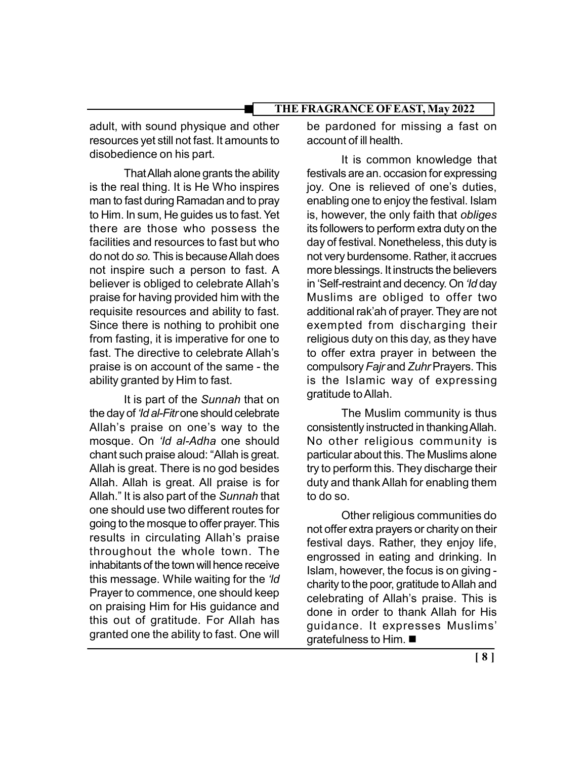adult, with sound physique and other resources yet still not fast. It amounts to disobedience on his part.

That Allah alone grants the ability is the real thing. It is He Who inspires man to fast during Ramadan and to pray to Him. In sum, He guides us to fast. Yet there are those who possess the facilities and resources to fast but who do not do so. This is because Allah does not inspire such a person to fast. A believer is obliged to celebrate Allah's praise for having provided him with the requisite resources and ability to fast. Since there is nothing to prohibit one from fasting, it is imperative for one to fast. The directive to celebrate Allah's praise is on account of the same - the ability granted by Him to fast.

It is part of the Sunnah that on the day of 'Id al-Fitr one should celebrate Allah's praise on one's way to the mosque. On 'Id al-Adha one should chant such praise aloud: "Allah is great. Allah is great. There is no god besides Allah. Allah is great. All praise is for Allah." It is also part of the Sunnah that one should use two different routes for going to the mosque to offer prayer. This results in circulating Allah's praise throughout the whole town. The inhabitants of the town will hence receive this message. While waiting for the 'ld Prayer to commence, one should keep on praising Him for His guidance and this out of gratitude. For Allah has granted one the ability to fast. One will

be pardoned for missing a fast on account of ill health.

It is common knowledge that festivals are an. occasion for expressing joy. One is relieved of one's duties, enabling one to enjoy the festival. Islam is, however, the only faith that obliges its followers to perform extra duty on the day of festival. Nonetheless, this duty is not very burdensome. Rather, it accrues more blessings. It instructs the believers in 'Self-restraint and decency. On 'Id day Muslims are obliged to offer two additional rak'ah of prayer. They are not exempted from discharging their religious duty on this day, as they have to offer extra prayer in between the compulsory Fajr and Zuhr Prayers. This is the Islamic way of expressing gratitude to Allah.

The Muslim community is thus consistently instructed in thanking Allah. No other religious community is particular about this. The Muslims alone try to perform this. They discharge their duty and thank Allah for enabling them to do so.

Other religious communities do not offer extra prayers or charity on their festival days. Rather, they enjoy life, engrossed in eating and drinking. In Islam, however, the focus is on giving charity to the poor, gratitude to Allah and celebrating of Allah's praise. This is done in order to thank Allah for His guidance. It expresses Muslims' gratefulness to Him.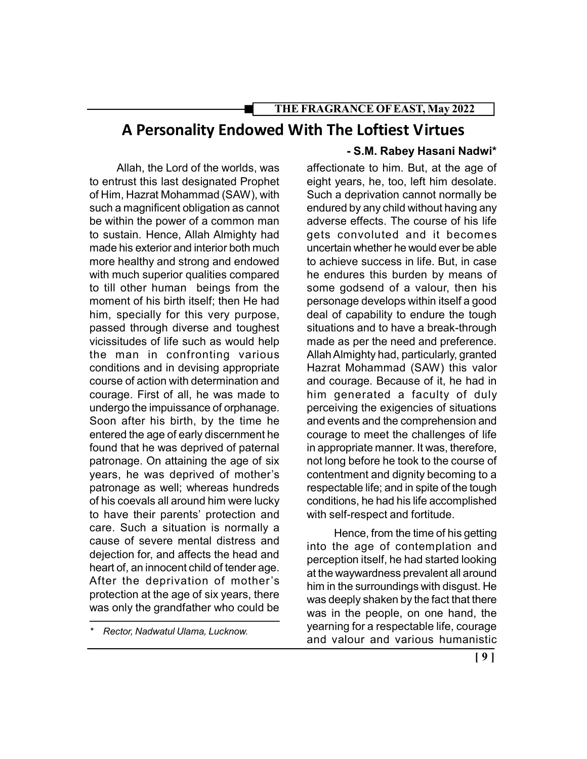# A Personality Endowed With The Loftiest Virtues

Allah, the Lord of the worlds, was to entrust this last designated Prophet of Him, Hazrat Mohammad (SAW), with such a magnificent obligation as cannot be within the power of a common man to sustain. Hence, Allah Almighty had made his exterior and interior both much more healthy and strong and endowed with much superior qualities compared to till other human beings from the moment of his birth itself; then He had him, specially for this very purpose, passed through diverse and toughest vicissitudes of life such as would help the man in confronting various conditions and in devising appropriate course of action with determination and courage. First of all, he was made to undergo the impuissance of orphanage. Soon after his birth, by the time he entered the age of early discernment he found that he was deprived of paternal patronage. On attaining the age of six years, he was deprived of mother's patronage as well; whereas hundreds of his coevals all around him were lucky to have their parents' protection and care. Such a situation is normally a cause of severe mental distress and dejection for, and affects the head and heart of, an innocent child of tender age. After the deprivation of mother's protection at the age of six years, there was only the grandfather who could be

#### - S.M. Rabey Hasani Nadwi\*

affectionate to him. But, at the age of eight years, he, too, left him desolate. Such a deprivation cannot normally be endured by any child without having any adverse effects. The course of his life gets convoluted and it becomes uncertain whether he would ever be able to achieve success in life. But, in case he endures this burden by means of some godsend of a valour, then his personage develops within itself a good deal of capability to endure the tough situations and to have a break-through made as per the need and preference. Allah Almighty had, particularly, granted Hazrat Mohammad (SAW) this valor and courage. Because of it, he had in him generated a faculty of duly perceiving the exigencies of situations and events and the comprehension and courage to meet the challenges of life in appropriate manner. It was, therefore, not long before he took to the course of contentment and dignity becoming to a respectable life; and in spite of the tough conditions, he had his life accomplished with self-respect and fortitude.

Hence, from the time of his getting into the age of contemplation and perception itself, he had started looking at the waywardness prevalent all around him in the surroundings with disgust. He was deeply shaken by the fact that there was in the people, on one hand, the yearning for a respectable life, courage and valour and various humanistic

Rector, Nadwatul Ulama, Lucknow.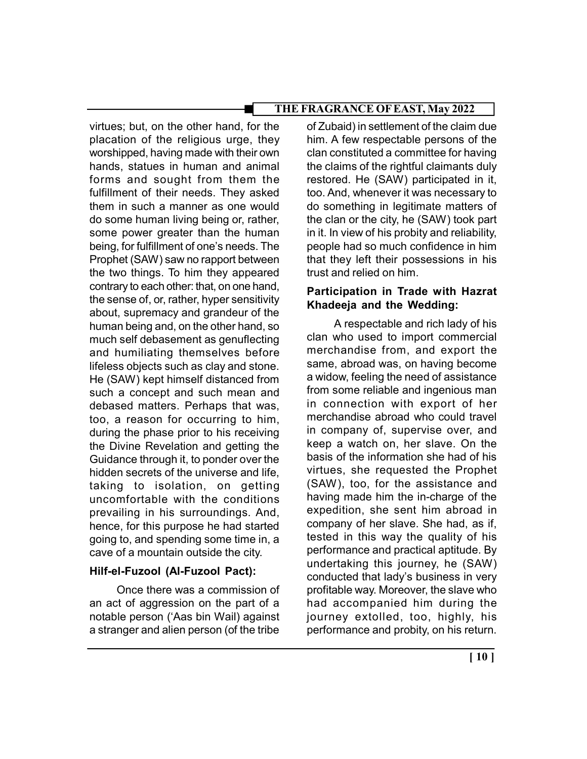virtues; but, on the other hand, for the placation of the religious urge, they worshipped, having made with their own hands, statues in human and animal forms and sought from them the fulfillment of their needs. They asked them in such a manner as one would do some human living being or, rather, some power greater than the human being, for fulfillment of one's needs. The Prophet (SAW) saw no rapport between the two things. To him they appeared contrary to each other: that, on one hand, the sense of, or, rather, hyper sensitivity about, supremacy and grandeur of the human being and, on the other hand, so much self debasement as genuflecting and humiliating themselves before lifeless objects such as clay and stone. He (SAW) kept himself distanced from such a concept and such mean and debased matters. Perhaps that was, too, a reason for occurring to him, during the phase prior to his receiving the Divine Revelation and getting the Guidance through it, to ponder over the hidden secrets of the universe and life, taking to isolation, on getting uncomfortable with the conditions prevailing in his surroundings. And, hence, for this purpose he had started going to, and spending some time in, a cave of a mountain outside the city.

## Hilf-el-Fuzool (Al-Fuzool Pact):

Once there was a commission of an act of aggression on the part of a notable person ('Aas bin Wail) against a stranger and alien person (of the tribe

of Zubaid) in settlement of the claim due him. A few respectable persons of the clan constituted a committee for having the claims of the rightful claimants duly restored. He (SAW) participated in it, too. And, whenever it was necessary to do something in legitimate matters of the clan or the city, he (SAW) took part in it. In view of his probity and reliability, people had so much confidence in him that they left their possessions in his trust and relied on him.

# Participation in Trade with Hazrat Khadeeja and the Wedding:

A respectable and rich lady of his clan who used to import commercial merchandise from, and export the same, abroad was, on having become a widow, feeling the need of assistance from some reliable and ingenious man in connection with export of her merchandise abroad who could travel in company of, supervise over, and keep a watch on, her slave. On the basis of the information she had of his virtues, she requested the Prophet (SAW), too, for the assistance and having made him the in-charge of the expedition, she sent him abroad in company of her slave. She had, as if, tested in this way the quality of his performance and practical aptitude. By undertaking this journey, he (SAW) conducted that lady's business in very profitable way. Moreover, the slave who had accompanied him during the journey extolled, too, highly, his performance and probity, on his return.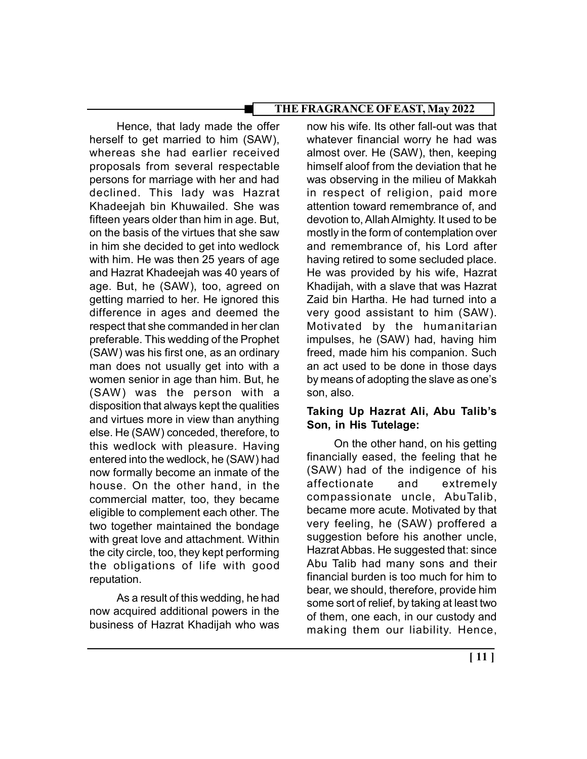Hence, that lady made the offer herself to get married to him (SAW), whereas she had earlier received proposals from several respectable persons for marriage with her and had declined. This lady was Hazrat Khadeejah bin Khuwailed. She was fifteen years older than him in age. But, on the basis of the virtues that she saw in him she decided to get into wedlock with him. He was then 25 years of age and Hazrat Khadeejah was 40 years of age. But, he (SAW), too, agreed on getting married to her. He ignored this difference in ages and deemed the respect that she commanded in her clan preferable. This wedding of the Prophet (SAW) was his first one, as an ordinary man does not usually get into with a women senior in age than him. But, he (SAW) was the person with a disposition that always kept the qualities and virtues more in view than anything else. He (SAW) conceded, therefore, to this wedlock with pleasure. Having entered into the wedlock, he (SAW) had now formally become an inmate of the house. On the other hand, in the commercial matter, too, they became eligible to complement each other. The two together maintained the bondage with great love and attachment. Within the city circle, too, they kept performing the obligations of life with good reputation.

As a result of this wedding, he had now acquired additional powers in the business of Hazrat Khadijah who was

now his wife. Its other fall-out was that whatever financial worry he had was almost over. He (SAW), then, keeping himself aloof from the deviation that he was observing in the milieu of Makkah in respect of religion, paid more attention toward remembrance of, and devotion to, Allah Almighty. It used to be mostly in the form of contemplation over and remembrance of, his Lord after having retired to some secluded place. He was provided by his wife, Hazrat Khadijah, with a slave that was Hazrat Zaid bin Hartha. He had turned into a very good assistant to him (SAW). Motivated by the humanitarian impulses, he (SAW) had, having him freed, made him his companion. Such an act used to be done in those days by means of adopting the slave as one's son, also.

## Taking Up Hazrat Ali, Abu Talib's Son, in His Tutelage:

On the other hand, on his getting financially eased, the feeling that he (SAW) had of the indigence of his affectionate and extremely compassionate uncle, AbuTalib, became more acute. Motivated by that very feeling, he (SAW) proffered a suggestion before his another uncle, Hazrat Abbas. He suggested that: since Abu Talib had many sons and their financial burden is too much for him to bear, we should, therefore, provide him some sort of relief, by taking at least two of them, one each, in our custody and making them our liability. Hence,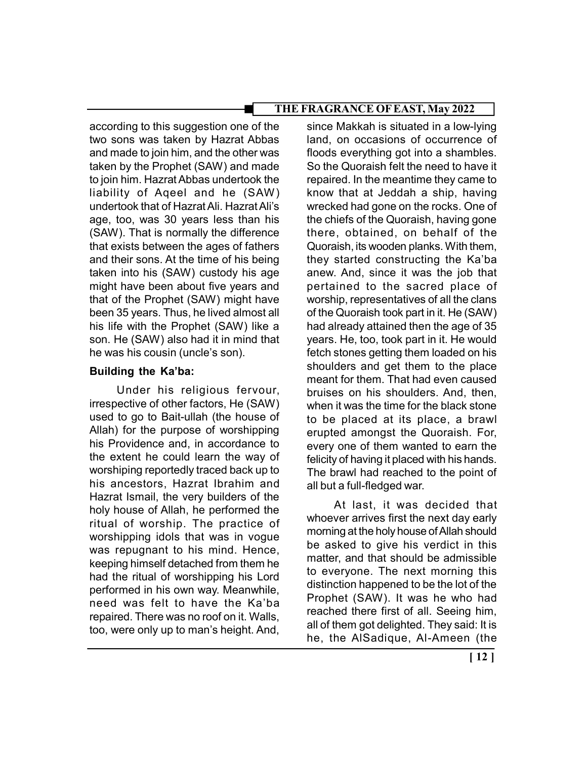according to this suggestion one of the two sons was taken by Hazrat Abbas and made to join him, and the other was taken by the Prophet (SAW) and made to join him. Hazrat Abbas undertook the liability of Aqeel and he (SAW) undertook that of Hazrat Ali. Hazrat Ali's age, too, was 30 years less than his (SAW). That is normally the difference that exists between the ages of fathers and their sons. At the time of his being taken into his (SAW) custody his age might have been about five years and that of the Prophet (SAW) might have been 35 years. Thus, he lived almost all his life with the Prophet (SAW) like a son. He (SAW) also had it in mind that he was his cousin (uncle's son).

## Building the Ka'ba:

Under his religious fervour, irrespective of other factors, He (SAW) used to go to Bait-ullah (the house of Allah) for the purpose of worshipping his Providence and, in accordance to the extent he could learn the way of worshiping reportedly traced back up to his ancestors, Hazrat Ibrahim and Hazrat Ismail, the very builders of the holy house of Allah, he performed the ritual of worship. The practice of worshipping idols that was in vogue was repugnant to his mind. Hence, keeping himself detached from them he had the ritual of worshipping his Lord performed in his own way. Meanwhile, need was felt to have the Ka'ba repaired. There was no roof on it. Walls, too, were only up to man's height. And,

since Makkah is situated in a low-lying land, on occasions of occurrence of floods everything got into a shambles. So the Quoraish felt the need to have it repaired. In the meantime they came to know that at Jeddah a ship, having wrecked had gone on the rocks. One of the chiefs of the Quoraish, having gone there, obtained, on behalf of the Quoraish, its wooden planks. With them, they started constructing the Ka'ba anew. And, since it was the job that pertained to the sacred place of worship, representatives of all the clans of the Quoraish took part in it. He (SAW) had already attained then the age of 35 years. He, too, took part in it. He would fetch stones getting them loaded on his shoulders and get them to the place meant for them. That had even caused bruises on his shoulders. And, then, when it was the time for the black stone to be placed at its place, a brawl erupted amongst the Quoraish. For, every one of them wanted to earn the felicity of having it placed with his hands. The brawl had reached to the point of all but a full-fledged war.

At last, it was decided that whoever arrives first the next day early morning at the holy house of Allah should be asked to give his verdict in this matter, and that should be admissible to everyone. The next morning this distinction happened to be the lot of the Prophet (SAW). It was he who had reached there first of all. Seeing him, all of them got delighted. They said: It is he, the AlSadique, Al-Ameen (the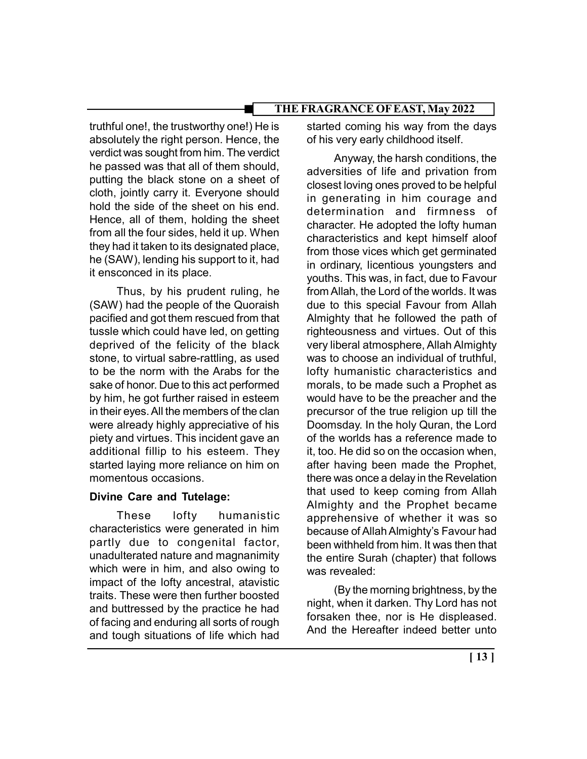truthful one!, the trustworthy one!) He is absolutely the right person. Hence, the verdict was sought from him. The verdict he passed was that all of them should, putting the black stone on a sheet of cloth, jointly carry it. Everyone should hold the side of the sheet on his end. Hence, all of them, holding the sheet from all the four sides, held it up. When they had it taken to its designated place, he (SAW), lending his support to it, had it ensconced in its place.

Thus, by his prudent ruling, he (SAW) had the people of the Quoraish pacified and got them rescued from that tussle which could have led, on getting deprived of the felicity of the black stone, to virtual sabre-rattling, as used to be the norm with the Arabs for the sake of honor. Due to this act performed by him, he got further raised in esteem in their eyes. All the members of the clan were already highly appreciative of his piety and virtues. This incident gave an additional fillip to his esteem. They started laying more reliance on him on momentous occasions.

# Divine Care and Tutelage:

These lofty humanistic characteristics were generated in him partly due to congenital factor, unadulterated nature and magnanimity which were in him, and also owing to impact of the lofty ancestral, atavistic traits. These were then further boosted and buttressed by the practice he had of facing and enduring all sorts of rough and tough situations of life which had

started coming his way from the days of his very early childhood itself.

Anyway, the harsh conditions, the adversities of life and privation from closest loving ones proved to be helpful in generating in him courage and determination and firmness of character. He adopted the lofty human characteristics and kept himself aloof from those vices which get germinated in ordinary, licentious youngsters and youths. This was, in fact, due to Favour from Allah, the Lord of the worlds. It was due to this special Favour from Allah Almighty that he followed the path of righteousness and virtues. Out of this very liberal atmosphere, Allah Almighty was to choose an individual of truthful, lofty humanistic characteristics and morals, to be made such a Prophet as would have to be the preacher and the precursor of the true religion up till the Doomsday. In the holy Quran, the Lord of the worlds has a reference made to it, too. He did so on the occasion when, after having been made the Prophet, there was once a delay in the Revelation that used to keep coming from Allah Almighty and the Prophet became apprehensive of whether it was so because of Allah Almighty's Favour had been withheld from him. It was then that the entire Surah (chapter) that follows was revealed:

(By the morning brightness, by the night, when it darken. Thy Lord has not forsaken thee, nor is He displeased. And the Hereafter indeed better unto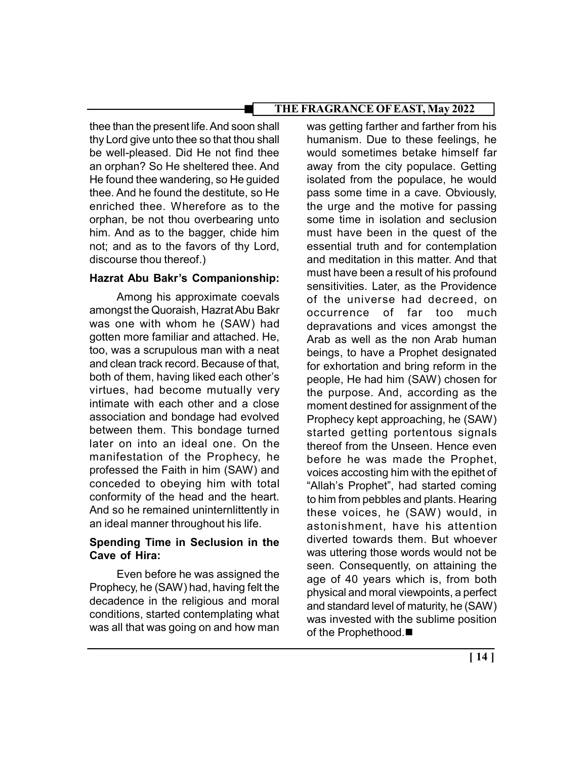thee than the present life. And soon shall thy Lord give unto thee so that thou shall be well-pleased. Did He not find thee an orphan? So He sheltered thee. And He found thee wandering, so He guided thee. And he found the destitute, so He enriched thee. Wherefore as to the orphan, be not thou overbearing unto him. And as to the bagger, chide him not; and as to the favors of thy Lord, discourse thou thereof.)

## Hazrat Abu Bakr's Companionship:

Among his approximate coevals amongst the Quoraish, Hazrat Abu Bakr was one with whom he (SAW) had gotten more familiar and attached. He, too, was a scrupulous man with a neat and clean track record. Because of that, both of them, having liked each other's virtues, had become mutually very intimate with each other and a close association and bondage had evolved between them. This bondage turned later on into an ideal one. On the manifestation of the Prophecy, he professed the Faith in him (SAW) and conceded to obeying him with total conformity of the head and the heart. And so he remained uninternlittently in an ideal manner throughout his life.

#### Spending Time in Seclusion in the Cave of Hira:

Even before he was assigned the Prophecy, he (SAW) had, having felt the decadence in the religious and moral conditions, started contemplating what was all that was going on and how man

was getting farther and farther from his humanism. Due to these feelings, he would sometimes betake himself far away from the city populace. Getting isolated from the populace, he would pass some time in a cave. Obviously, the urge and the motive for passing some time in isolation and seclusion must have been in the quest of the essential truth and for contemplation and meditation in this matter. And that must have been a result of his profound sensitivities. Later, as the Providence of the universe had decreed, on occurrence of far too much depravations and vices amongst the Arab as well as the non Arab human beings, to have a Prophet designated for exhortation and bring reform in the people, He had him (SAW) chosen for the purpose. And, according as the moment destined for assignment of the Prophecy kept approaching, he (SAW) started getting portentous signals thereof from the Unseen. Hence even before he was made the Prophet, voices accosting him with the epithet of "Allah's Prophet", had started coming to him from pebbles and plants. Hearing these voices, he (SAW) would, in astonishment, have his attention diverted towards them. But whoever was uttering those words would not be seen. Consequently, on attaining the age of 40 years which is, from both physical and moral viewpoints, a perfect and standard level of maturity, he (SAW) was invested with the sublime position of the Prophethood.■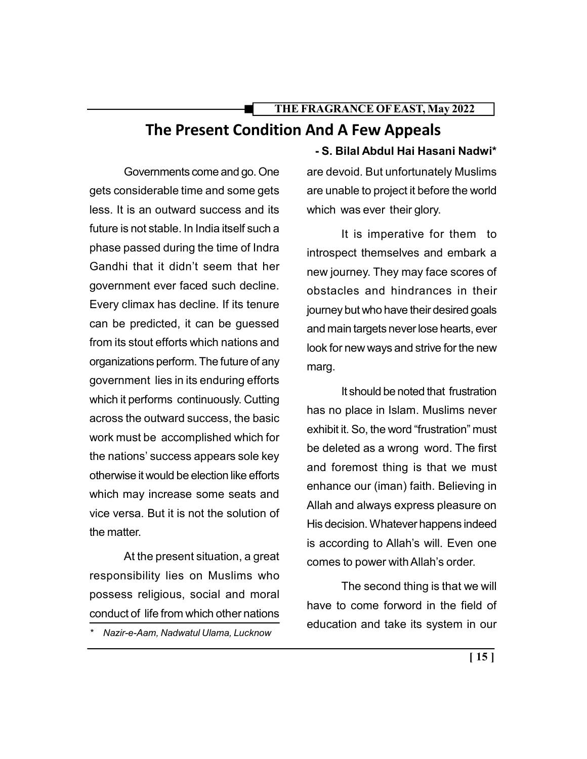# THE FRAGRANCE OF EAST, May 2022 The Present Condition And A Few Appeals

Governments come and go. One gets considerable time and some gets less. It is an outward success and its future is not stable. In India itself such a phase passed during the time of Indra Gandhi that it didn't seem that her government ever faced such decline. Every climax has decline. If its tenure can be predicted, it can be guessed from its stout efforts which nations and organizations perform. The future of any government lies in its enduring efforts which it performs continuously. Cutting across the outward success, the basic work must be accomplished which for the nations' success appears sole key otherwise it would be election like efforts which may increase some seats and vice versa. But it is not the solution of the matter.

At the present situation, a great responsibility lies on Muslims who possess religious, social and moral conduct of life from which other nations

Nazir-e-Aam, Nadwatul Ulama, Lucknow

- S. Bilal Abdul Hai Hasani Nadwi\* are devoid. But unfortunately Muslims are unable to project it before the world which was ever their glory.

It is imperative for them to introspect themselves and embark a new journey. They may face scores of obstacles and hindrances in their journey but who have their desired goals and main targets never lose hearts, ever look for new ways and strive for the new marg.

It should be noted that frustration has no place in Islam. Muslims never exhibit it. So, the word "frustration" must be deleted as a wrong word. The first and foremost thing is that we must enhance our (iman) faith. Believing in Allah and always express pleasure on His decision. Whatever happens indeed is according to Allah's will. Even one comes to power with Allah's order.

The second thing is that we will have to come forword in the field of education and take its system in our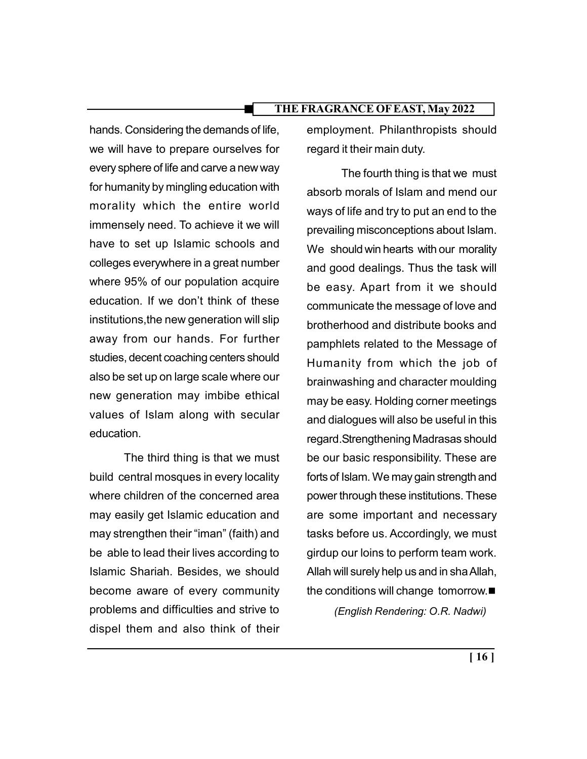hands. Considering the demands of life, we will have to prepare ourselves for every sphere of life and carve a new way for humanity by mingling education with morality which the entire world immensely need. To achieve it we will have to set up Islamic schools and colleges everywhere in a great number where 95% of our population acquire education. If we don't think of these institutions,the new generation will slip away from our hands. For further studies, decent coaching centers should also be set up on large scale where our new generation may imbibe ethical values of Islam along with secular education.

The third thing is that we must build central mosques in every locality where children of the concerned area may easily get Islamic education and may strengthen their "iman" (faith) and be able to lead their lives according to Islamic Shariah. Besides, we should become aware of every community problems and difficulties and strive to dispel them and also think of their

employment. Philanthropists should regard it their main duty.

The fourth thing is that we must absorb morals of Islam and mend our ways of life and try to put an end to the prevailing misconceptions about Islam. We should win hearts with our morality and good dealings. Thus the task will be easy. Apart from it we should communicate the message of love and brotherhood and distribute books and pamphlets related to the Message of Humanity from which the job of brainwashing and character moulding may be easy. Holding corner meetings and dialogues will also be useful in this regard.Strengthening Madrasas should be our basic responsibility. These are forts of Islam. We may gain strength and power through these institutions. These are some important and necessary tasks before us. Accordingly, we must girdup our loins to perform team work. Allah will surely help us and in sha Allah, the conditions will change tomorrow. (English Rendering: O.R. Nadwi)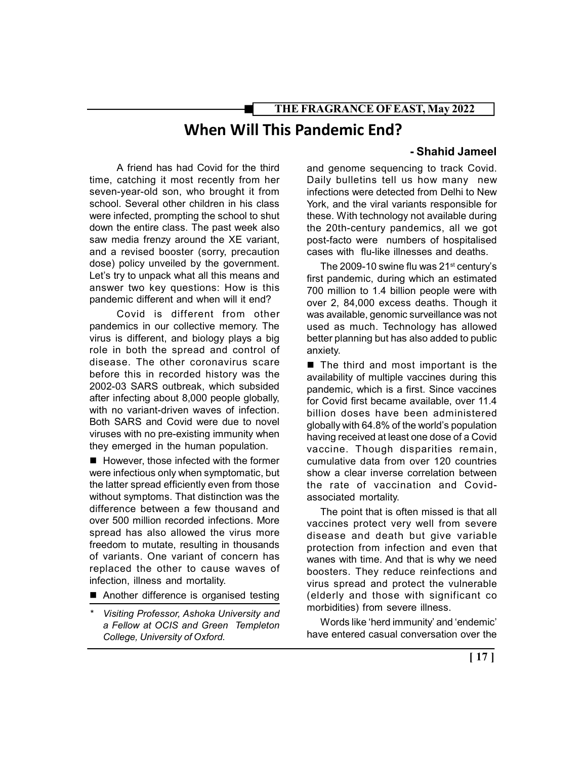# When Will This Pandemic End?

A friend has had Covid for the third time, catching it most recently from her seven-year-old son, who brought it from school. Several other children in his class were infected, prompting the school to shut down the entire class. The past week also saw media frenzy around the XE variant, and a revised booster (sorry, precaution dose) policy unveiled by the government. Let's try to unpack what all this means and answer two key questions: How is this pandemic different and when will it end?

Covid is different from other pandemics in our collective memory. The virus is different, and biology plays a big role in both the spread and control of disease. The other coronavirus scare before this in recorded history was the 2002-03 SARS outbreak, which subsided after infecting about 8,000 people globally, with no variant-driven waves of infection. Both SARS and Covid were due to novel viruses with no pre-existing immunity when they emerged in the human population.

■ However, those infected with the former were infectious only when symptomatic, but the latter spread efficiently even from those without symptoms. That distinction was the difference between a few thousand and over 500 million recorded infections. More spread has also allowed the virus more freedom to mutate, resulting in thousands of variants. One variant of concern has replaced the other to cause waves of infection, illness and mortality.

- Another difference is organised testing
- Visiting Professor, Ashoka University and a Fellow at OCIS and Green Templeton College, University of Oxford.

#### - Shahid Jameel

and genome sequencing to track Covid. Daily bulletins tell us how many new infections were detected from Delhi to New York, and the viral variants responsible for these. With technology not available during the 20th-century pandemics, all we got post-facto were numbers of hospitalised cases with flu-like illnesses and deaths.

The 2009-10 swine flu was 21<sup>st</sup> century's first pandemic, during which an estimated 700 million to 1.4 billion people were with over 2, 84,000 excess deaths. Though it was available, genomic surveillance was not used as much. Technology has allowed better planning but has also added to public anxiety.

 $\blacksquare$  The third and most important is the availability of multiple vaccines during this pandemic, which is a first. Since vaccines for Covid first became available, over 11.4 billion doses have been administered globally with 64.8% of the world's population having received at least one dose of a Covid vaccine. Though disparities remain, cumulative data from over 120 countries show a clear inverse correlation between the rate of vaccination and Covidassociated mortality.

The point that is often missed is that all vaccines protect very well from severe disease and death but give variable protection from infection and even that wanes with time. And that is why we need boosters. They reduce reinfections and virus spread and protect the vulnerable (elderly and those with significant co morbidities) from severe illness.

Words like 'herd immunity' and 'endemic' have entered casual conversation over the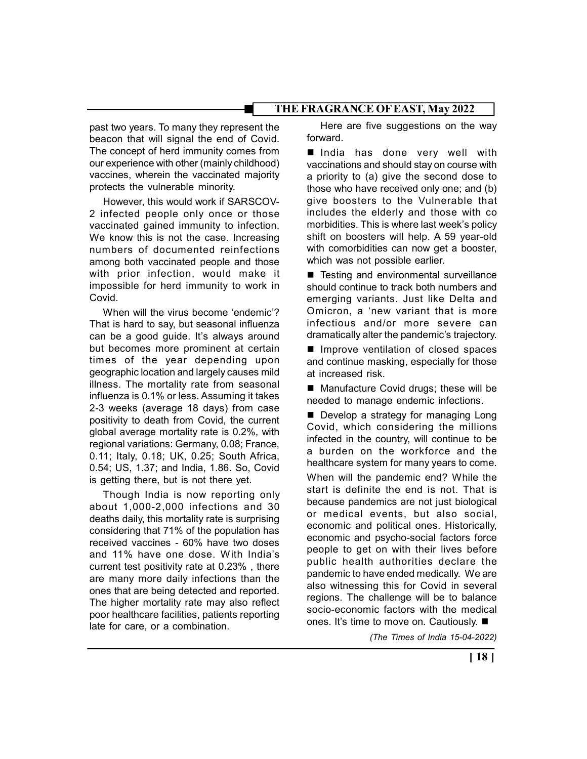past two years. To many they represent the beacon that will signal the end of Covid. The concept of herd immunity comes from our experience with other (mainly childhood) vaccines, wherein the vaccinated majority protects the vulnerable minority.

However, this would work if SARSCOV-2 infected people only once or those vaccinated gained immunity to infection. We know this is not the case. Increasing numbers of documented reinfections among both vaccinated people and those with prior infection, would make it impossible for herd immunity to work in Covid.

When will the virus become 'endemic'? That is hard to say, but seasonal influenza can be a good guide. It's always around but becomes more prominent at certain times of the year depending upon geographic location and largely causes mild illness. The mortality rate from seasonal influenza is 0.1% or less. Assuming it takes 2-3 weeks (average 18 days) from case positivity to death from Covid, the current global average mortality rate is 0.2%, with regional variations: Germany, 0.08; France, 0.11; Italy, 0.18; UK, 0.25; South Africa, 0.54; US, 1.37; and India, 1.86. So, Covid is getting there, but is not there yet.

Though India is now reporting only about 1,000-2,000 infections and 30 deaths daily, this mortality rate is surprising considering that 71% of the population has received vaccines - 60% have two doses and 11% have one dose. With India's current test positivity rate at 0.23% , there are many more daily infections than the ones that are being detected and reported. The higher mortality rate may also reflect poor healthcare facilities, patients reporting late for care, or a combination.

Here are five suggestions on the way forward.

India has done very well with vaccinations and should stay on course with a priority to (a) give the second dose to those who have received only one; and (b) give boosters to the Vulnerable that includes the elderly and those with co morbidities. This is where last week's policy shift on boosters will help. A 59 year-old with comorbidities can now get a booster, which was not possible earlier.

■ Testing and environmental surveillance should continue to track both numbers and emerging variants. Just like Delta and Omicron, a 'new variant that is more infectious and/or more severe can dramatically alter the pandemic's trajectory.

**Improve ventilation of closed spaces** and continue masking, especially for those at increased risk.

■ Manufacture Covid drugs; these will be needed to manage endemic infections.

Develop a strategy for managing Long Covid, which considering the millions infected in the country, will continue to be a burden on the workforce and the healthcare system for many years to come. When will the pandemic end? While the start is definite the end is not. That is because pandemics are not just biological or medical events, but also social, economic and political ones. Historically, economic and psycho-social factors force people to get on with their lives before public health authorities declare the pandemic to have ended medically. We are also witnessing this for Covid in several regions. The challenge will be to balance socio-economic factors with the medical ones. It's time to move on. Cautiously. ■

(The Times of India 15-04-2022)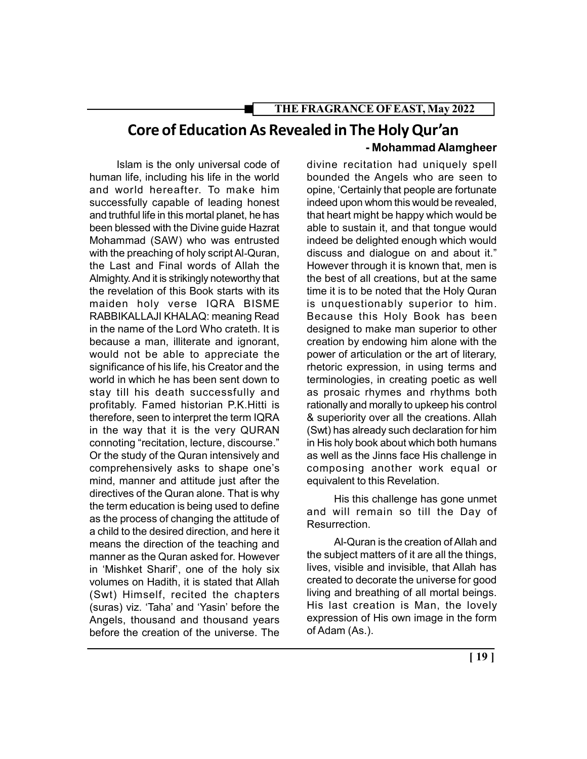# Core of Education As Revealed in The Holy Qur'an

Islam is the only universal code of human life, including his life in the world and world hereafter. To make him successfully capable of leading honest and truthful life in this mortal planet, he has been blessed with the Divine guide Hazrat Mohammad (SAW) who was entrusted with the preaching of holy script Al-Quran, the Last and Final words of Allah the Almighty. And it is strikingly noteworthy that the revelation of this Book starts with its maiden holy verse IQRA BISME RABBIKALLAJI KHALAQ: meaning Read in the name of the Lord Who crateth. It is because a man, illiterate and ignorant, would not be able to appreciate the significance of his life, his Creator and the world in which he has been sent down to stay till his death successfully and profitably. Famed historian P.K.Hitti is therefore, seen to interpret the term IQRA in the way that it is the very QURAN connoting "recitation, lecture, discourse." Or the study of the Quran intensively and comprehensively asks to shape one's mind, manner and attitude just after the directives of the Quran alone. That is why the term education is being used to define as the process of changing the attitude of a child to the desired direction, and here it means the direction of the teaching and manner as the Quran asked for. However in 'Mishket Sharif', one of the holy six volumes on Hadith, it is stated that Allah (Swt) Himself, recited the chapters (suras) viz. 'Taha' and 'Yasin' before the Angels, thousand and thousand years before the creation of the universe. The

#### - Mohammad Alamgheer

divine recitation had uniquely spell bounded the Angels who are seen to opine, 'Certainly that people are fortunate indeed upon whom this would be revealed, that heart might be happy which would be able to sustain it, and that tongue would indeed be delighted enough which would discuss and dialogue on and about it." However through it is known that, men is the best of all creations, but at the same time it is to be noted that the Holy Quran is unquestionably superior to him. Because this Holy Book has been designed to make man superior to other creation by endowing him alone with the power of articulation or the art of literary, rhetoric expression, in using terms and terminologies, in creating poetic as well as prosaic rhymes and rhythms both rationally and morally to upkeep his control & superiority over all the creations. Allah (Swt) has already such declaration for him in His holy book about which both humans as well as the Jinns face His challenge in composing another work equal or equivalent to this Revelation.

His this challenge has gone unmet and will remain so till the Day of Resurrection.

Al-Quran is the creation of Allah and the subject matters of it are all the things, lives, visible and invisible, that Allah has created to decorate the universe for good living and breathing of all mortal beings. His last creation is Man, the lovely expression of His own image in the form of Adam (As.).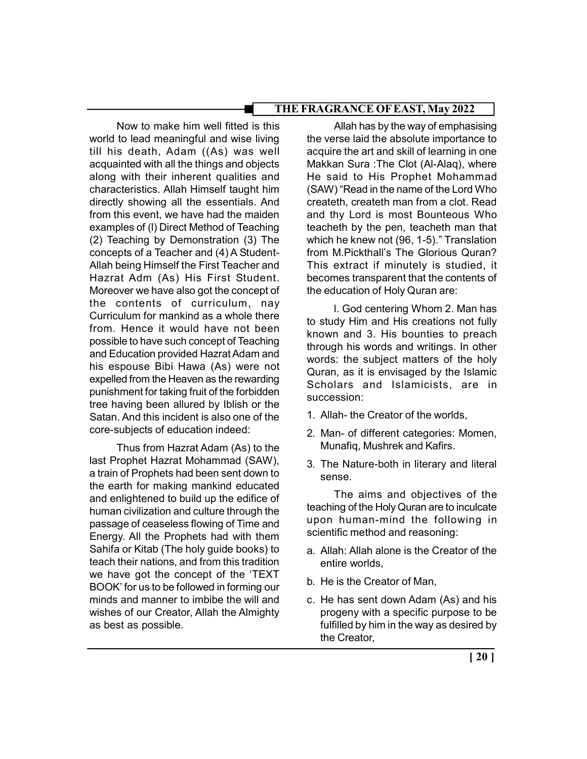Now to make him well fitted is this world to lead meaningful and wise living till his death, Adam ((As) was well acquainted with all the things and objects along with their inherent qualities and characteristics. Allah Himself taught him directly showing all the essentials. And from this event, we have had the maiden examples of (l) Direct Method of Teaching (2) Teaching by Demonstration (3) The concepts of a Teacher and (4) A Student-Allah being Himself the First Teacher and Hazrat Adm (As) His First Student. Moreover we have also got the concept of the contents of curriculum, nay Curriculum for mankind as a whole there from. Hence it would have not been possible to have such concept of Teaching and Education provided Hazrat Adam and his espouse Bibi Hawa (As) were not expelled from the Heaven as the rewarding punishment for taking fruit of the forbidden tree having been allured by Iblish or the Satan. And this incident is also one of the core-subjects of education indeed:

Thus from Hazrat Adam (As) to the last Prophet Hazrat Mohammad (SAW), a train of Prophets had been sent down to the earth for making mankind educated and enlightened to build up the edifice of human civilization and culture through the passage of ceaseless flowing of Time and Energy. All the Prophets had with them Sahifa or Kitab (The holy guide books) to teach their nations, and from this tradition we have got the concept of the 'TEXT BOOK' for us to be followed in forming our minds and manner to imbibe the will and wishes of our Creator, Allah the Almighty as best as possible.

Allah has by the way of emphasising the verse laid the absolute importance to acquire the art and skill of learning in one Makkan Sura :The Clot (Al-Alaq), where He said to His Prophet Mohammad (SAW) "Read in the name of the Lord Who createth, createth man from a clot. Read and thy Lord is most Bounteous Who teacheth by the pen, teacheth man that which he knew not (96, 1-5)." Translation from M.Pickthall's The Glorious Quran? This extract if minutely is studied, it becomes transparent that the contents of the education of Holy Quran are:

l. God centering Whom 2. Man has to study Him and His creations not fully known and 3. His bounties to preach through his words and writings. In other words: the subject matters of the holy Quran, as it is envisaged by the Islamic Scholars and Islamicists, are in succession:

- 1. Allah- the Creator of the worlds,
- 2. Man- of different categories: Momen, Munafiq, Mushrek and Kafirs.
- 3. The Nature-both in literary and literal sense.

The aims and objectives of the teaching of the Holy Quran are to inculcate upon human-mind the following in scientific method and reasoning:

- a. Allah: Allah alone is the Creator of the entire worlds,
- b. He is the Creator of Man,
- c. He has sent down Adam (As) and his progeny with a specific purpose to be fulfilled by him in the way as desired by the Creator,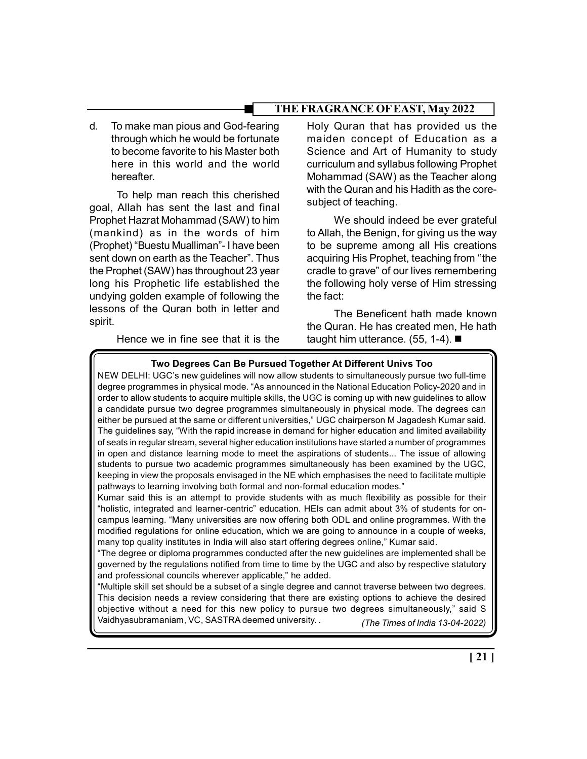d. To make man pious and God-fearing through which he would be fortunate to become favorite to his Master both here in this world and the world hereafter.

To help man reach this cherished goal, Allah has sent the last and final Prophet Hazrat Mohammad (SAW) to him (mankind) as in the words of him (Prophet) "Buestu Mualliman"- I have been sent down on earth as the Teacher". Thus the Prophet (SAW) has throughout 23 year long his Prophetic life established the undying golden example of following the lessons of the Quran both in letter and spirit.

Holy Quran that has provided us the maiden concept of Education as a Science and Art of Humanity to study curriculum and syllabus following Prophet Mohammad (SAW) as the Teacher along with the Quran and his Hadith as the coresubject of teaching.

We should indeed be ever grateful to Allah, the Benign, for giving us the way to be supreme among all His creations acquiring His Prophet, teaching from ''the cradle to grave" of our lives remembering the following holy verse of Him stressing the fact:

The Beneficent hath made known the Quran. He has created men, He hath taught him utterance. (55, 1-4). ■

Hence we in fine see that it is the

#### Two Degrees Can Be Pursued Together At Different Univs Too

NEW DELHI: UGC's new guidelines will now allow students to simultaneously pursue two full-time degree programmes in physical mode. "As announced in the National Education Policy-2020 and in order to allow students to acquire multiple skills, the UGC is coming up with new guidelines to allow a candidate pursue two degree programmes simultaneously in physical mode. The degrees can either be pursued at the same or different universities," UGC chairperson M Jagadesh Kumar said. The guidelines say, "With the rapid increase in demand for higher education and limited availability of seats in regular stream, several higher education institutions have started a number of programmes in open and distance learning mode to meet the aspirations of students... The issue of allowing students to pursue two academic programmes simultaneously has been examined by the UGC, keeping in view the proposals envisaged in the NE which emphasises the need to facilitate multiple pathways to learning involving both formal and non-formal education modes."

Kumar said this is an attempt to provide students with as much flexibility as possible for their "holistic, integrated and learner-centric" education. HEIs can admit about 3% of students for oncampus learning. "Many universities are now offering both ODL and online programmes. With the modified regulations for online education, which we are going to announce in a couple of weeks, many top quality institutes in India will also start offering degrees online," Kumar said.

"The degree or diploma programmes conducted after the new guidelines are implemented shall be governed by the regulations notified from time to time by the UGC and also by respective statutory and professional councils wherever applicable," he added.

"Multiple skill set should be a subset of a single degree and cannot traverse between two degrees. This decision needs a review considering that there are existing options to achieve the desired objective without a need for this new policy to pursue two degrees simultaneously," said S Vaidhyasubramaniam, VC, SASTRA deemed university. *(The Times of India 13-04-2022)*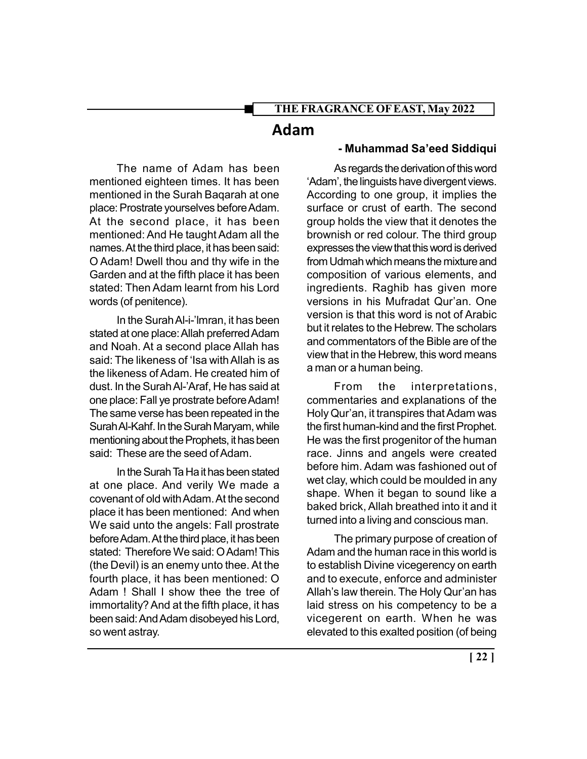# Adam

The name of Adam has been mentioned eighteen times. It has been mentioned in the Surah Baqarah at one place: Prostrate yourselves before Adam. At the second place, it has been mentioned: And He taught Adam all the names. At the third place, it has been said: O Adam! Dwell thou and thy wife in the Garden and at the fifth place it has been stated: Then Adam learnt from his Lord words (of penitence).

In the Surah Al-i-'lmran, it has been stated at one place: Allah preferred Adam and Noah. At a second place Allah has said: The likeness of 'Isa with Allah is as the likeness of Adam. He created him of dust. In the Surah Al-'Araf, He has said at one place: Fall ye prostrate before Adam! The same verse has been repeated in the Surah Al-Kahf. In the Surah Maryam, while mentioning about the Prophets, it has been said: These are the seed of Adam.

In the Surah Ta Ha it has been stated at one place. And verily We made a covenant of old with Adam. At the second place it has been mentioned: And when We said unto the angels: Fall prostrate before Adam. At the third place, it has been stated: Therefore We said: O Adam! This (the Devil) is an enemy unto thee. At the fourth place, it has been mentioned: O Adam ! Shall I show thee the tree of immortality? And at the fifth place, it has been said: And Adam disobeyed his Lord, so went astray.

#### - Muhammad Sa'eed Siddiqui

As regards the derivation of this word 'Adam', the linguists have divergent views. According to one group, it implies the surface or crust of earth. The second group holds the view that it denotes the brownish or red colour. The third group expresses the view that this word is derived from Udmah which means the mixture and composition of various elements, and ingredients. Raghib has given more versions in his Mufradat Qur'an. One version is that this word is not of Arabic but it relates to the Hebrew. The scholars and commentators of the Bible are of the view that in the Hebrew, this word means a man or a human being.

From the interpretations, commentaries and explanations of the Holy Qur'an, it transpires that Adam was the first human-kind and the first Prophet. He was the first progenitor of the human race. Jinns and angels were created before him. Adam was fashioned out of wet clay, which could be moulded in any shape. When it began to sound like a baked brick, Allah breathed into it and it turned into a living and conscious man.

The primary purpose of creation of Adam and the human race in this world is to establish Divine vicegerency on earth and to execute, enforce and administer Allah's law therein. The Holy Qur'an has laid stress on his competency to be a vicegerent on earth. When he was elevated to this exalted position (of being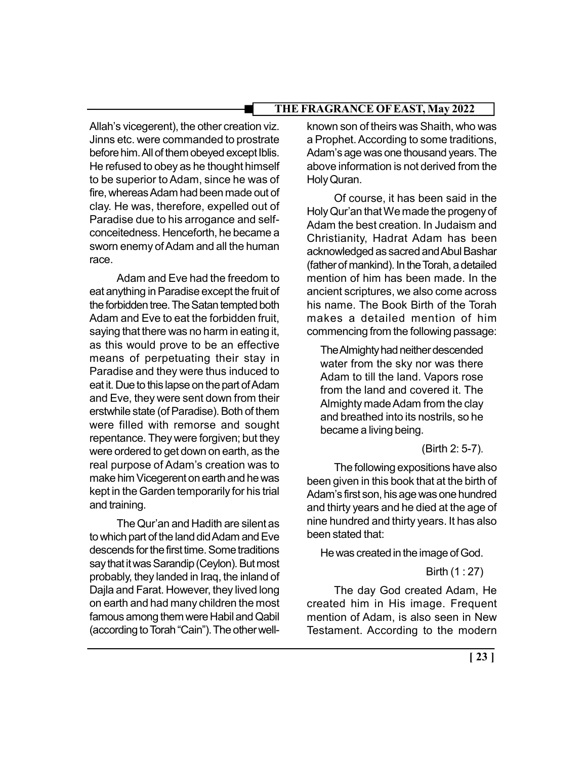Allah's vicegerent), the other creation viz. Jinns etc. were commanded to prostrate before him. All of them obeyed except Iblis. He refused to obey as he thought himself to be superior to Adam, since he was of fire, whereas Adam had been made out of clay. He was, therefore, expelled out of Paradise due to his arrogance and selfconceitedness. Henceforth, he became a sworn enemy of Adam and all the human race.

Adam and Eve had the freedom to eat anything in Paradise except the fruit of the forbidden tree. The Satan tempted both Adam and Eve to eat the forbidden fruit, saying that there was no harm in eating it, as this would prove to be an effective means of perpetuating their stay in Paradise and they were thus induced to eat it. Due to this lapse on the part of Adam and Eve, they were sent down from their erstwhile state (of Paradise). Both of them were filled with remorse and sought repentance. They were forgiven; but they were ordered to get down on earth, as the real purpose of Adam's creation was to make him Vicegerent on earth and he was kept in the Garden temporarily for his trial and training.

The Qur'an and Hadith are silent as to which part of the land did Adam and Eve descends for the first time. Some traditions say that it was Sarandip (Ceylon). But most probably, they landed in Iraq, the inland of Dajla and Farat. However, they lived long on earth and had many children the most famous among them were Habil and Qabil (according to Torah "Cain"). The other well-

known son of theirs was Shaith, who was a Prophet. According to some traditions, Adam's age was one thousand years. The above information is not derived from the Holy Quran.

Of course, it has been said in the Holy Qur'an that We made the progeny of Adam the best creation. In Judaism and Christianity, Hadrat Adam has been acknowledged as sacred and Abul Bashar (father of mankind). In the Torah, a detailed mention of him has been made. In the ancient scriptures, we also come across his name. The Book Birth of the Torah makes a detailed mention of him commencing from the following passage:

The Almighty had neither descended water from the sky nor was there Adam to till the land. Vapors rose from the land and covered it. The Almighty made Adam from the clay and breathed into its nostrils, so he became a living being.

## (Birth 2: 5-7).

The following expositions have also been given in this book that at the birth of Adam's first son, his age was one hundred and thirty years and he died at the age of nine hundred and thirty years. It has also been stated that:

He was created in the image of God.

Birth (1 : 27)

The day God created Adam, He created him in His image. Frequent mention of Adam, is also seen in New Testament. According to the modern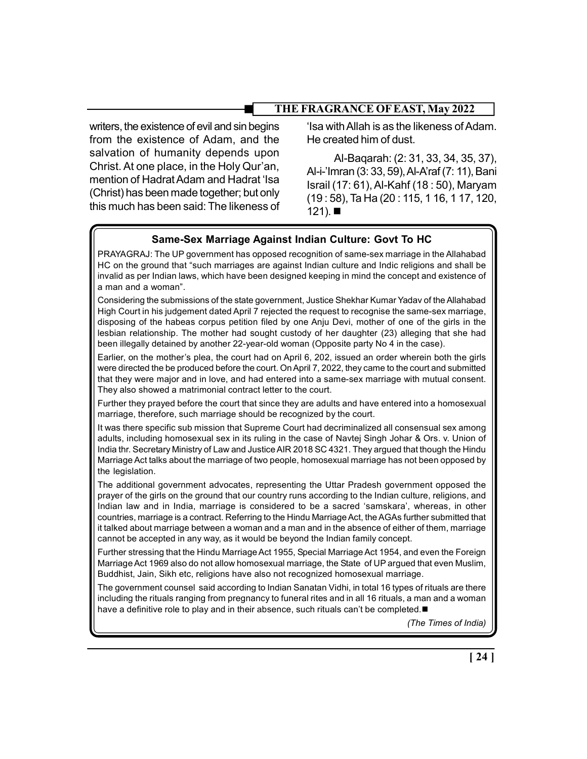writers, the existence of evil and sin begins from the existence of Adam, and the salvation of humanity depends upon Christ. At one place, in the Holy Qur'an, mention of Hadrat Adam and Hadrat 'Isa (Christ) has been made together; but only this much has been said: The likeness of

'Isa with Allah is as the likeness of Adam. He created him of dust.

Al-Baqarah: (2: 31, 33, 34, 35, 37), Al-i-'Imran (3: 33, 59), Al-A'raf (7: 11), Bani Israil (17: 61), Al-Kahf (18 : 50), Maryam (19 : 58), Ta Ha (20 : 115, 1 16, 1 17, 120,  $121$ ).

# Same-Sex Marriage Against Indian Culture: Govt To HC

PRAYAGRAJ: The UP government has opposed recognition of same-sex marriage in the Allahabad HC on the ground that "such marriages are against Indian culture and Indic religions and shall be invalid as per Indian laws, which have been designed keeping in mind the concept and existence of a man and a woman".

Considering the submissions of the state government, Justice Shekhar Kumar Yadav of the Allahabad High Court in his judgement dated April 7 rejected the request to recognise the same-sex marriage, disposing of the habeas corpus petition filed by one Anju Devi, mother of one of the girls in the lesbian relationship. The mother had sought custody of her daughter (23) alleging that she had been illegally detained by another 22-year-old woman (Opposite party No 4 in the case).

Earlier, on the mother's plea, the court had on April 6, 202, issued an order wherein both the girls were directed the be produced before the court. On April 7, 2022, they came to the court and submitted that they were major and in love, and had entered into a same-sex marriage with mutual consent. They also showed a matrimonial contract letter to the court.

Further they prayed before the court that since they are adults and have entered into a homosexual marriage, therefore, such marriage should be recognized by the court.

It was there specific sub mission that Supreme Court had decriminalized all consensual sex among adults, including homosexual sex in its ruling in the case of Navtej Singh Johar & Ors. v. Union of India thr. Secretary Ministry of Law and Justice AIR 2018 SC 4321. They argued that though the Hindu Marriage Act talks about the marriage of two people, homosexual marriage has not been opposed by the legislation.

The additional government advocates, representing the Uttar Pradesh government opposed the prayer of the girls on the ground that our country runs according to the Indian culture, religions, and Indian law and in India, marriage is considered to be a sacred 'samskara', whereas, in other countries, marriage is a contract. Referring to the Hindu Marriage Act, the AGAs further submitted that it talked about marriage between a woman and a man and in the absence of either of them, marriage cannot be accepted in any way, as it would be beyond the Indian family concept.

Further stressing that the Hindu Marriage Act 1955, Special Marriage Act 1954, and even the Foreign Marriage Act 1969 also do not allow homosexual marriage, the State of UP argued that even Muslim, Buddhist, Jain, Sikh etc, religions have also not recognized homosexual marriage.

The government counsel said according to Indian Sanatan Vidhi, in total 16 types of rituals are there including the rituals ranging from pregnancy to funeral rites and in all 16 rituals, a man and a woman have a definitive role to play and in their absence, such rituals can't be completed.

(The Times of India)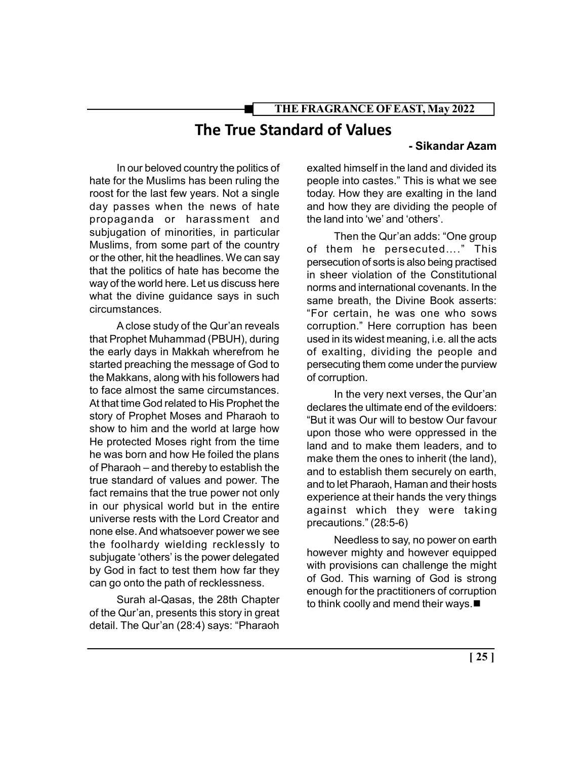# The True Standard of Values

#### - Sikandar Azam

In our beloved country the politics of hate for the Muslims has been ruling the roost for the last few years. Not a single day passes when the news of hate propaganda or harassment and subjugation of minorities, in particular Muslims, from some part of the country or the other, hit the headlines. We can say that the politics of hate has become the way of the world here. Let us discuss here what the divine guidance says in such circumstances.

A close study of the Qur'an reveals that Prophet Muhammad (PBUH), during the early days in Makkah wherefrom he started preaching the message of God to the Makkans, along with his followers had to face almost the same circumstances. At that time God related to His Prophet the story of Prophet Moses and Pharaoh to show to him and the world at large how He protected Moses right from the time he was born and how He foiled the plans of Pharaoh – and thereby to establish the true standard of values and power. The fact remains that the true power not only in our physical world but in the entire universe rests with the Lord Creator and none else. And whatsoever power we see the foolhardy wielding recklessly to subjugate 'others' is the power delegated by God in fact to test them how far they can go onto the path of recklessness.

Surah al-Qasas, the 28th Chapter of the Qur'an, presents this story in great detail. The Qur'an (28:4) says: "Pharaoh

exalted himself in the land and divided its people into castes." This is what we see today. How they are exalting in the land and how they are dividing the people of the land into 'we' and 'others'.

Then the Qur'an adds: "One group of them he persecuted…." This persecution of sorts is also being practised in sheer violation of the Constitutional norms and international covenants. In the same breath, the Divine Book asserts: "For certain, he was one who sows corruption." Here corruption has been used in its widest meaning, i.e. all the acts of exalting, dividing the people and persecuting them come under the purview of corruption.

In the very next verses, the Qur'an declares the ultimate end of the evildoers: "But it was Our will to bestow Our favour upon those who were oppressed in the land and to make them leaders, and to make them the ones to inherit (the land), and to establish them securely on earth, and to let Pharaoh, Haman and their hosts experience at their hands the very things against which they were taking precautions." (28:5-6)

Needless to say, no power on earth however mighty and however equipped with provisions can challenge the might of God. This warning of God is strong enough for the practitioners of corruption to think coolly and mend their ways.■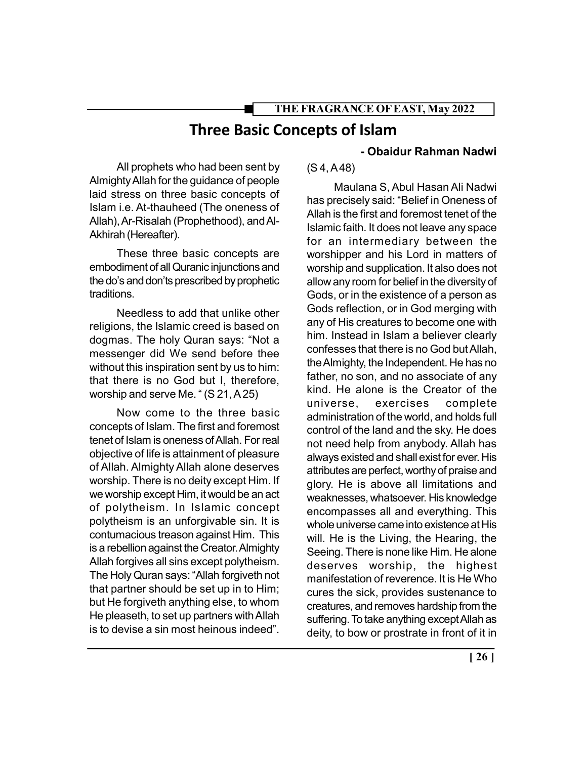# Three Basic Concepts of Islam

All prophets who had been sent by Almighty Allah for the guidance of people laid stress on three basic concepts of Islam i.e. At-thauheed (The oneness of Allah), Ar-Risalah (Prophethood), and Al-Akhirah (Hereafter).

These three basic concepts are embodiment of all Quranic injunctions and the do's and don'ts prescribed by prophetic traditions.

Needless to add that unlike other religions, the Islamic creed is based on dogmas. The holy Quran says: "Not a messenger did We send before thee without this inspiration sent by us to him: that there is no God but I, therefore, worship and serve Me. " (S 21, A 25)

Now come to the three basic concepts of Islam. The first and foremost tenet of Islam is oneness of Allah. For real objective of life is attainment of pleasure of Allah. Almighty Allah alone deserves worship. There is no deity except Him. If we worship except Him, it would be an act of polytheism. In Islamic concept polytheism is an unforgivable sin. It is contumacious treason against Him. This is a rebellion against the Creator. Almighty Allah forgives all sins except polytheism. The Holy Quran says: "Allah forgiveth not that partner should be set up in to Him; but He forgiveth anything else, to whom He pleaseth, to set up partners with Allah is to devise a sin most heinous indeed".

# - Obaidur Rahman Nadwi

(S 4, A 48)

Maulana S, Abul Hasan Ali Nadwi has precisely said: "Belief in Oneness of Allah is the first and foremost tenet of the Islamic faith. It does not leave any space for an intermediary between the worshipper and his Lord in matters of worship and supplication. It also does not allow any room for belief in the diversity of Gods, or in the existence of a person as Gods reflection, or in God merging with any of His creatures to become one with him. Instead in Islam a believer clearly confesses that there is no God but Allah, the Almighty, the Independent. He has no father, no son, and no associate of any kind. He alone is the Creator of the universe, exercises complete administration of the world, and holds full control of the land and the sky. He does not need help from anybody. Allah has always existed and shall exist for ever. His attributes are perfect, worthy of praise and glory. He is above all limitations and weaknesses, whatsoever. His knowledge encompasses all and everything. This whole universe came into existence at His will. He is the Living, the Hearing, the Seeing. There is none like Him. He alone deserves worship, the highest manifestation of reverence. It is He Who cures the sick, provides sustenance to creatures, and removes hardship from the suffering. To take anything except Allah as deity, to bow or prostrate in front of it in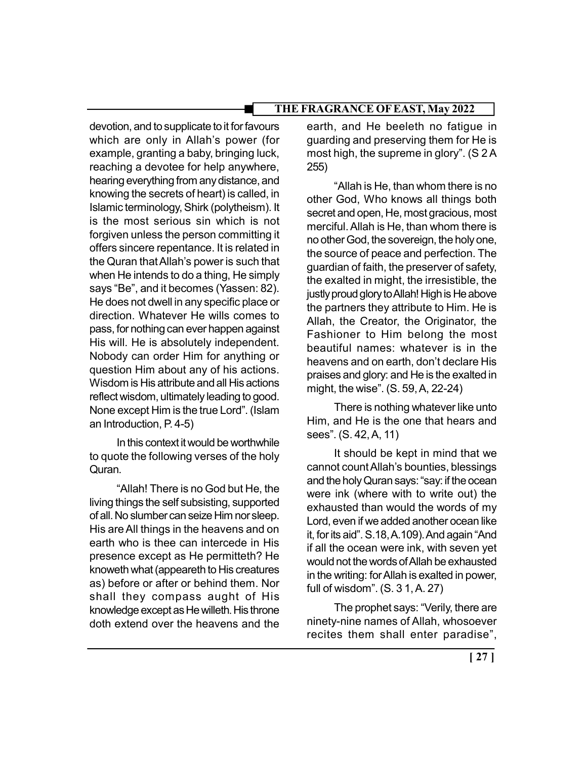devotion, and to supplicate to it for favours which are only in Allah's power (for example, granting a baby, bringing luck, reaching a devotee for help anywhere, hearing everything from any distance, and knowing the secrets of heart) is called, in Islamic terminology, Shirk (polytheism). It is the most serious sin which is not forgiven unless the person committing it offers sincere repentance. It is related in the Quran that Allah's power is such that when He intends to do a thing, He simply says "Be", and it becomes (Yassen: 82). He does not dwell in any specific place or direction. Whatever He wills comes to pass, for nothing can ever happen against His will. He is absolutely independent. Nobody can order Him for anything or question Him about any of his actions. Wisdom is His attribute and all His actions reflect wisdom, ultimately leading to good. None except Him is the true Lord". (Islam an Introduction, P. 4-5)

In this context it would be worthwhile to quote the following verses of the holy Quran.

"Allah! There is no God but He, the living things the self subsisting, supported of all. No slumber can seize Him nor sleep. His are All things in the heavens and on earth who is thee can intercede in His presence except as He permitteth? He knoweth what (appeareth to His creatures as) before or after or behind them. Nor shall they compass aught of His knowledge except as He willeth. His throne doth extend over the heavens and the

earth, and He beeleth no fatigue in guarding and preserving them for He is most high, the supreme in glory". (S 2 A 255)

"Allah is He, than whom there is no other God, Who knows all things both secret and open, He, most gracious, most merciful. Allah is He, than whom there is no other God, the sovereign, the holy one, the source of peace and perfection. The guardian of faith, the preserver of safety, the exalted in might, the irresistible, the justly proud glory to Allah! High is He above the partners they attribute to Him. He is Allah, the Creator, the Originator, the Fashioner to Him belong the most beautiful names: whatever is in the heavens and on earth, don't declare His praises and glory: and He is the exalted in might, the wise". (S. 59, A, 22-24)

There is nothing whatever like unto Him, and He is the one that hears and sees". (S. 42, A, 11)

It should be kept in mind that we cannot count Allah's bounties, blessings and the holy Quran says: "say: if the ocean were ink (where with to write out) the exhausted than would the words of my Lord, even if we added another ocean like it, for its aid". S.18, A.109). And again "And if all the ocean were ink, with seven yet would not the words of Allah be exhausted in the writing: for Allah is exalted in power, full of wisdom". (S. 3 1, A. 27)

The prophet says: "Verily, there are ninety-nine names of Allah, whosoever recites them shall enter paradise",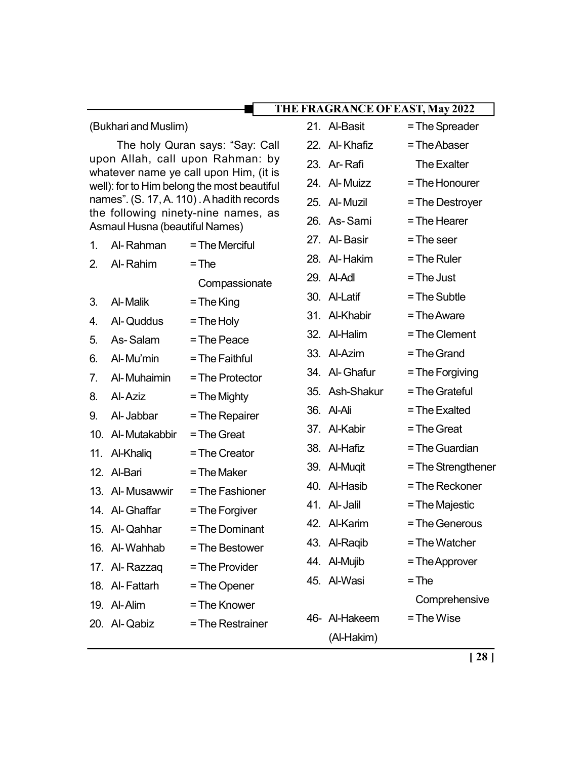#### (Bukhari and Muslim)

The holy Quran says: "Say: Call upon Allah, call upon Rahman: by whatever name ye call upon Him, (it is well): for to Him belong the most beautiful names". (S. 17, A. 110) . A hadith records the following ninety-nine names, as Asmaul Husna (beautiful Names)

| 1. | Al-Rahman         | = The Merciful   |
|----|-------------------|------------------|
|    | 2. Al-Rahim       | $=$ The          |
|    |                   | Compassionate    |
| 3. | Al-Malik          | $=$ The King     |
| 4. | Al-Quddus         | $=$ The Holy     |
| 5. | As-Salam          | = The Peace      |
|    | 6. Al-Mu'min      | $=$ The Faithful |
|    | 7. Al-Muhaimin    | = The Protector  |
|    | 8. Al-Aziz        | $=$ The Mighty   |
|    | 9. Al-Jabbar      | = The Repairer   |
|    | 10. Al-Mutakabbir | = The Great      |
|    | 11. Al-Khaliq     | = The Creator    |
|    | 12. Al-Bari       | $=$ The Maker    |
|    | 13. Al-Musawwir   | = The Fashioner  |
|    | 14. Al-Ghaffar    | = The Forgiver   |
|    | 15. Al-Qahhar     | = The Dominant   |
|    | 16. Al-Wahhab     | = The Bestower   |
|    | 17. Al-Razzaq     | = The Provider   |
|    | 18. Al-Fattarh    | = The Opener     |
|    | 19. Al-Alim       | = The Knower     |

 $20.$  Al-Qabiz = The Restrainer

| 21. Al-Basit               | = The Spreader     |
|----------------------------|--------------------|
| 22. Al-Khafiz              | = The Abaser       |
| 23. Ar-Rafi                | The Exalter        |
| 24. Al-Muizz               | = The Honourer     |
| 25. Al-Muzil               | = The Destroyer    |
| 26. As-Sami                | = The Hearer       |
| 27. Al-Basir               | = The seer         |
| 28. Al-Hakim $=$ The Ruler |                    |
| 29. Al-Adl                 | = The Just         |
| 30. Al-Latif               | = The Subtle       |
| 31. Al-Khabir              | = The Aware        |
| 32. Al-Halim               | = The Clement      |
| 33. Al-Azim                | $=$ The Grand      |
| 34. Al-Ghafur              | = The Forgiving    |
| 35. Ash-Shakur             | = The Grateful     |
| 36. Al-Ali                 | = The Exalted      |
| 37. Al-Kabir               | = The Great        |
| 38. Al-Hafiz               | = The Guardian     |
| 39. Al-Muqit               | = The Strengthener |
| 40. Al-Hasib               | = The Reckoner     |
| 41. Al-Jalil               | = The Majestic     |
| 42. Al-Karim               | = The Generous     |
| 43. Al-Raqib               | = The Watcher      |
| 44. Al-Mujib               | = The Approver     |
| 45. Al-Wasi                | $=$ The            |
|                            | Comprehensive      |
| 46- Al-Hakeem              | $=$ The Wise       |
| (Al-Hakim)                 |                    |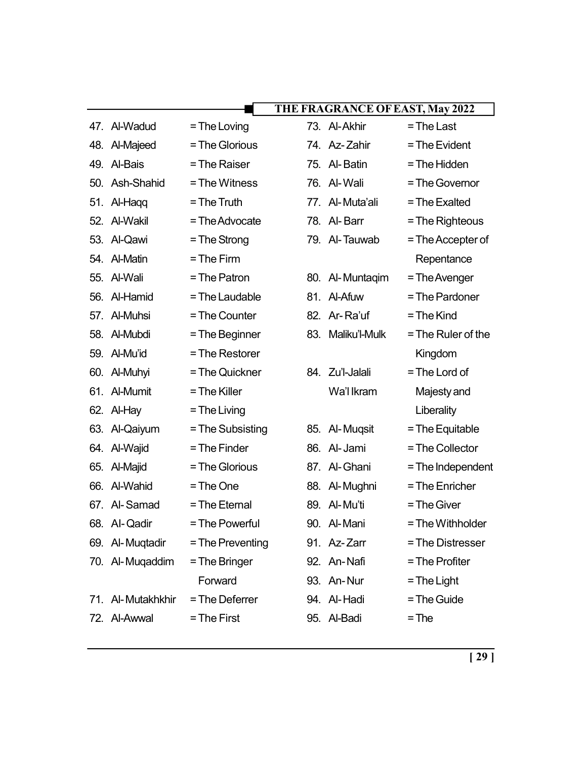|     |                   |                  |     | THE FRAGRANCE OF EAST, May 2022 |                      |
|-----|-------------------|------------------|-----|---------------------------------|----------------------|
|     | 47. Al-Wadud      | $=$ The Loving   |     | 73. Al-Akhir                    | $=$ The Last         |
| 48. | Al-Majeed         | = The Glorious   |     | 74. Az-Zahir                    | = The Evident        |
| 49. | Al-Bais           | = The Raiser     |     | 75. Al-Batin                    | = The Hidden         |
| 50. | Ash-Shahid        | = The Witness    |     | 76. Al-Wali                     | = The Governor       |
| 51. | Al-Hagg           | $=$ The Truth    |     | 77. Al-Muta'ali                 | = The Exalted        |
|     | 52. Al-Wakil      | $=$ The Advocate |     | 78. Al-Barr                     | = The Righteous      |
|     | 53. Al-Qawi       | $=$ The Strong   |     | 79. Al-Tauwab                   | $=$ The Accepter of  |
|     | 54. Al-Matin      | $=$ The Firm     |     |                                 | Repentance           |
|     | 55. Al-Wali       | = The Patron     |     | 80. Al-Muntaqim                 | = The Avenger        |
|     | 56. Al-Hamid      | = The Laudable   |     | 81. Al-Afuw                     | = The Pardoner       |
|     | 57. Al-Muhsi      | = The Counter    |     | 82. Ar-Ra'uf                    | $=$ The Kind         |
|     | 58. Al-Mubdi      | = The Beginner   | 83. | Maliku'l-Mulk                   | $=$ The Ruler of the |
|     | 59. Al-Mu'id      | = The Restorer   |     |                                 | Kingdom              |
|     | 60. Al-Muhyi      | = The Quickner   |     | 84. Zu'l-Jalali                 | = The Lord of        |
| 61. | Al-Mumit          | = The Killer     |     | Wa'l Ikram                      | Majesty and          |
|     | 62. Al-Hay        | $=$ The Living   |     |                                 | Liberality           |
|     | 63. Al-Qaiyum     | = The Subsisting |     | 85. Al-Muqsit                   | $=$ The Equitable    |
|     | 64. Al-Wajid      | = The Finder     | 86. | Al-Jami                         | = The Collector      |
|     | 65. Al-Majid      | = The Glorious   |     | 87. Al-Ghani                    | = The Independent    |
| 66. | Al-Wahid          | = The One        |     | 88. Al-Mughni                   | = The Enricher       |
|     | 67. Al-Samad      | = The Eternal    |     | 89. Al-Mu'ti                    | = The Giver          |
|     | 68. Al-Qadir      | = The Powerful   |     | 90. Al-Mani                     | = The Withholder     |
|     | 69. Al-Muqtadir   | = The Preventing |     | 91. Az-Zarr                     | = The Distresser     |
|     | 70. Al-Muqaddim   | = The Bringer    |     | 92. An-Nafi                     | = The Profiter       |
|     |                   | Forward          |     | 93. An-Nur                      | $=$ The Light        |
|     | 71. Al-Mutakhkhir | = The Deferrer   |     | 94. Al-Hadi                     | $=$ The Guide        |
|     | 72. Al-Awwal      | $=$ The First    |     | 95. Al-Badi                     | $=$ The              |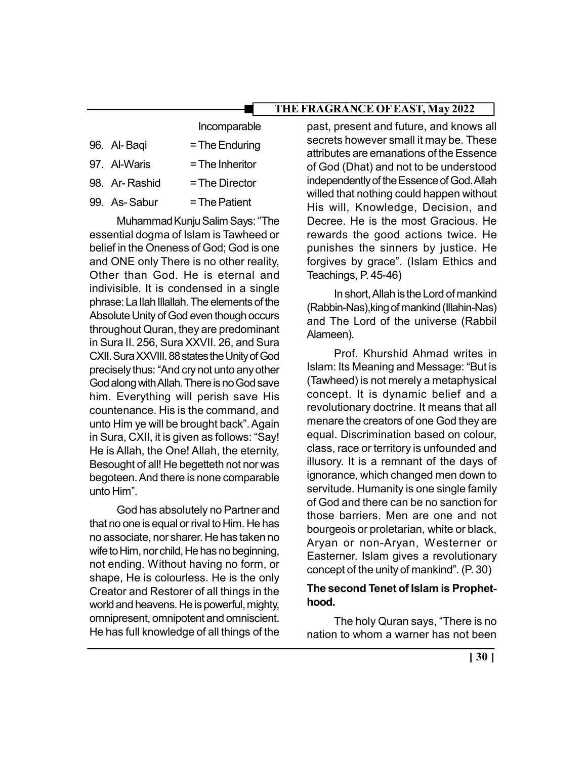|               | Incomparable      |
|---------------|-------------------|
| 96. Al-Baqi   | $=$ The Enduring  |
| 97. Al-Waris  | $=$ The Inheritor |
| 98. Ar-Rashid | = The Director    |
| 99. As-Sabur  | $=$ The Patient   |

Muhammad Kunju Salim Says: ''The essential dogma of Islam is Tawheed or belief in the Oneness of God; God is one and ONE only There is no other reality, Other than God. He is eternal and indivisible. It is condensed in a single phrase: La Ilah Illallah. The elements of the Absolute Unity of God even though occurs throughout Quran, they are predominant in Sura II. 256, Sura XXVII. 26, and Sura CXII. Sura XXVIII. 88 states the Unity of God precisely thus: "And cry not unto any other God along with Allah. There is no God save him. Everything will perish save His countenance. His is the command, and unto Him ye will be brought back". Again in Sura, CXII, it is given as follows: "Say! He is Allah, the One! Allah, the eternity, Besought of all! He begetteth not nor was begoteen. And there is none comparable unto Him".

God has absolutely no Partner and that no one is equal or rival to Him. He has no associate, nor sharer. He has taken no wife to Him, nor child, He has no beginning, not ending. Without having no form, or shape, He is colourless. He is the only Creator and Restorer of all things in the world and heavens. He is powerful, mighty, omnipresent, omnipotent and omniscient. He has full knowledge of all things of the

past, present and future, and knows all secrets however small it may be. These attributes are emanations of the Essence of God (Dhat) and not to be understood independently of the Essence of God. Allah willed that nothing could happen without His will, Knowledge, Decision, and Decree. He is the most Gracious. He rewards the good actions twice. He punishes the sinners by justice. He forgives by grace". (Islam Ethics and Teachings, P. 45-46)

In short, Allah is the Lord of mankind (Rabbin-Nas),king of mankind (Illahin-Nas) and The Lord of the universe (Rabbil Alameen).

Prof. Khurshid Ahmad writes in Islam: Its Meaning and Message: "But is (Tawheed) is not merely a metaphysical concept. It is dynamic belief and a revolutionary doctrine. It means that all menare the creators of one God they are equal. Discrimination based on colour, class, race or territory is unfounded and illusory. It is a remnant of the days of ignorance, which changed men down to servitude. Humanity is one single family of God and there can be no sanction for those barriers. Men are one and not bourgeois or proletarian, white or black, Aryan or non-Aryan, Westerner or Easterner. Islam gives a revolutionary concept of the unity of mankind". (P. 30)

## The second Tenet of Islam is Prophethood.

The holy Quran says, "There is no nation to whom a warner has not been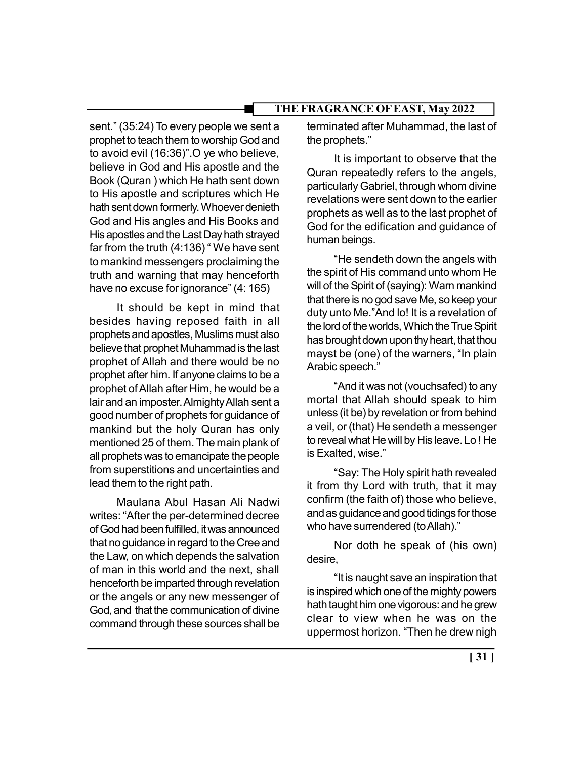sent." (35:24) To every people we sent a prophet to teach them to worship God and to avoid evil (16:36)".O ye who believe, believe in God and His apostle and the Book (Quran ) which He hath sent down to His apostle and scriptures which He hath sent down formerly. Whoever denieth God and His angles and His Books and His apostles and the Last Day hath strayed far from the truth (4:136) " We have sent to mankind messengers proclaiming the truth and warning that may henceforth have no excuse for ignorance" (4: 165)

It should be kept in mind that besides having reposed faith in all prophets and apostles, Muslims must also believe that prophet Muhammad is the last prophet of Allah and there would be no prophet after him. If anyone claims to be a prophet of Allah after Him, he would be a lair and an imposter. Almighty Allah sent a good number of prophets for guidance of mankind but the holy Quran has only mentioned 25 of them. The main plank of all prophets was to emancipate the people from superstitions and uncertainties and lead them to the right path.

Maulana Abul Hasan Ali Nadwi writes: "After the per-determined decree of God had been fulfilled, it was announced that no guidance in regard to the Cree and the Law, on which depends the salvation of man in this world and the next, shall henceforth be imparted through revelation or the angels or any new messenger of God, and that the communication of divine command through these sources shall be

terminated after Muhammad, the last of the prophets."

It is important to observe that the Quran repeatedly refers to the angels, particularly Gabriel, through whom divine revelations were sent down to the earlier prophets as well as to the last prophet of God for the edification and guidance of human beings.

"He sendeth down the angels with the spirit of His command unto whom He will of the Spirit of (saying): Warn mankind that there is no god save Me, so keep your duty unto Me."And lo! It is a revelation of the lord of the worlds, Which the True Spirit has brought down upon thy heart, that thou mayst be (one) of the warners, "In plain Arabic speech."

"And it was not (vouchsafed) to any mortal that Allah should speak to him unless (it be) by revelation or from behind a veil, or (that) He sendeth a messenger to reveal what He will by His leave. Lo ! He is Exalted, wise."

"Say: The Holy spirit hath revealed it from thy Lord with truth, that it may confirm (the faith of) those who believe, and as guidance and good tidings for those who have surrendered (to Allah)."

Nor doth he speak of (his own) desire,

"It is naught save an inspiration that is inspired which one of the mighty powers hath taught him one vigorous: and he grew clear to view when he was on the uppermost horizon. "Then he drew nigh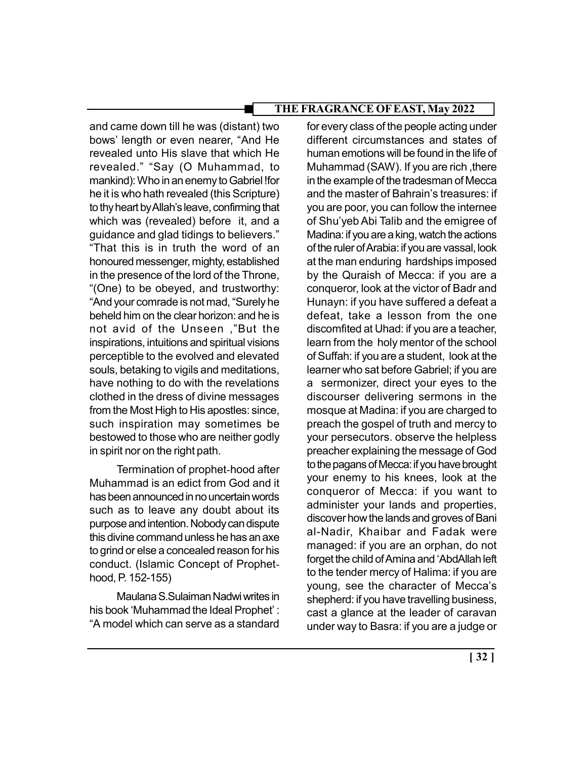and came down till he was (distant) two bows' length or even nearer, "And He revealed unto His slave that which He revealed." "Say (O Muhammad, to mankind): Who in an enemy to Gabriel !for he it is who hath revealed (this Scripture) to thy heart by Allah's leave, confirming that which was (revealed) before it, and a guidance and glad tidings to believers." "That this is in truth the word of an honoured messenger, mighty, established in the presence of the lord of the Throne, "(One) to be obeyed, and trustworthy: "And your comrade is not mad, "Surely he beheld him on the clear horizon: and he is not avid of the Unseen ,"But the inspirations, intuitions and spiritual visions perceptible to the evolved and elevated souls, betaking to vigils and meditations, have nothing to do with the revelations clothed in the dress of divine messages from the Most High to His apostles: since, such inspiration may sometimes be bestowed to those who are neither godly in spirit nor on the right path.

Termination of prophet-hood after Muhammad is an edict from God and it has been announced in no uncertain words such as to leave any doubt about its purpose and intention. Nobody can dispute this divine command unless he has an axe to grind or else a concealed reason for his conduct. (Islamic Concept of Prophethood, P. 152-155)

Maulana S.Sulaiman Nadwi writes in his book 'Muhammad the Ideal Prophet' : "A model which can serve as a standard

for every class of the people acting under different circumstances and states of human emotions will be found in the life of Muhammad (SAW). If you are rich ,there in the example of the tradesman of Mecca and the master of Bahrain's treasures: if you are poor, you can follow the internee of Shu'yeb Abi Talib and the emigree of Madina: if you are a king, watch the actions of the ruler of Arabia: if you are vassal, look at the man enduring hardships imposed by the Quraish of Mecca: if you are a conqueror, look at the victor of Badr and Hunayn: if you have suffered a defeat a defeat, take a lesson from the one discomfited at Uhad: if you are a teacher, learn from the holy mentor of the school of Suffah: if you are a student, look at the learner who sat before Gabriel; if you are a sermonizer, direct your eyes to the discourser delivering sermons in the mosque at Madina: if you are charged to preach the gospel of truth and mercy to your persecutors. observe the helpless preacher explaining the message of God to the pagans of Mecca: if you have brought your enemy to his knees, look at the conqueror of Mecca: if you want to administer your lands and properties, discover how the lands and groves of Bani al-Nadir, Khaibar and Fadak were managed: if you are an orphan, do not forget the child of Amina and 'AbdAllah left to the tender mercy of Halima: if you are young, see the character of Mecca's shepherd: if you have travelling business, cast a glance at the leader of caravan under way to Basra: if you are a judge or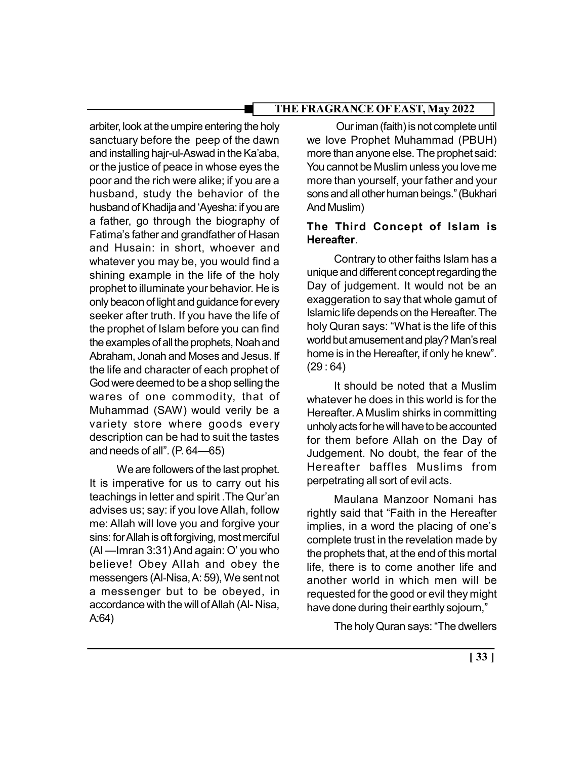arbiter, look at the umpire entering the holy sanctuary before the peep of the dawn and installing hajr-ul-Aswad in the Ka'aba, or the justice of peace in whose eyes the poor and the rich were alike; if you are a husband, study the behavior of the husband of Khadija and 'Ayesha: if you are a father, go through the biography of Fatima's father and grandfather of Hasan and Husain: in short, whoever and whatever you may be, you would find a shining example in the life of the holy prophet to illuminate your behavior. He is only beacon of light and guidance for every seeker after truth. If you have the life of the prophet of Islam before you can find the examples of all the prophets, Noah and Abraham, Jonah and Moses and Jesus. If the life and character of each prophet of God were deemed to be a shop selling the wares of one commodity, that of Muhammad (SAW) would verily be a variety store where goods every description can be had to suit the tastes and needs of all". (P. 64—65)

We are followers of the last prophet. It is imperative for us to carry out his teachings in letter and spirit .The Qur'an advises us; say: if you love Allah, follow me: Allah will love you and forgive your sins: for Allah is oft forgiving, most merciful (Al —Imran 3:31) And again: O' you who believe! Obey Allah and obey the messengers (Al-Nisa, A: 59), We sent not a messenger but to be obeyed, in accordance with the will of Allah (Al- Nisa, A:64)

 Our iman (faith) is not complete until we love Prophet Muhammad (PBUH) more than anyone else. The prophet said: You cannot be Muslim unless you love me more than yourself, your father and your sons and all other human beings." (Bukhari And Muslim)

# The Third Concept of Islam is Hereafter.

Contrary to other faiths Islam has a unique and different concept regarding the Day of judgement. It would not be an exaggeration to say that whole gamut of Islamic life depends on the Hereafter. The holy Quran says: "What is the life of this world but amusement and play? Man's real home is in the Hereafter, if only he knew".  $(29:64)$ 

It should be noted that a Muslim whatever he does in this world is for the Hereafter. A Muslim shirks in committing unholy acts for he will have to be accounted for them before Allah on the Day of Judgement. No doubt, the fear of the Hereafter baffles Muslims from perpetrating all sort of evil acts.

Maulana Manzoor Nomani has rightly said that "Faith in the Hereafter implies, in a word the placing of one's complete trust in the revelation made by the prophets that, at the end of this mortal life, there is to come another life and another world in which men will be requested for the good or evil they might have done during their earthly sojourn,"

The holy Quran says: "The dwellers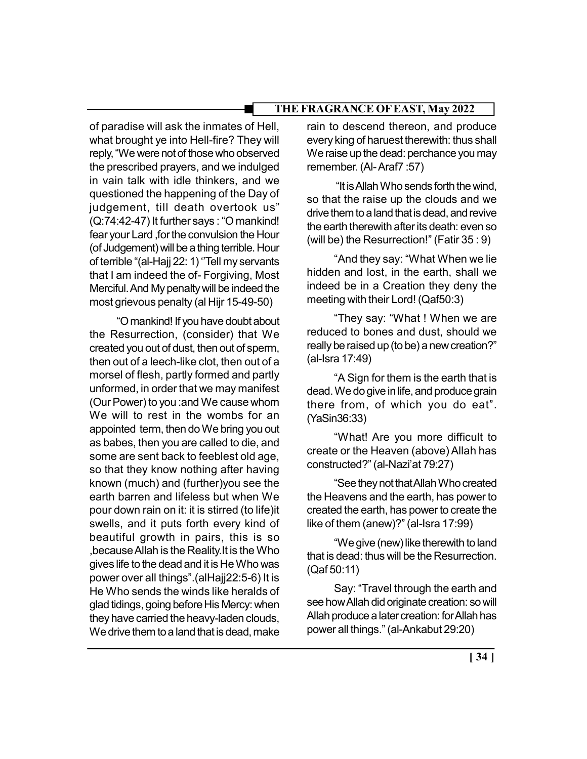of paradise will ask the inmates of Hell, what brought ye into Hell-fire? They will reply, "We were not of those who observed the prescribed prayers, and we indulged in vain talk with idle thinkers, and we questioned the happening of the Day of judgement, till death overtook us" (Q:74:42-47) It further says : "O mankind! fear your Lard ,for the convulsion the Hour (of Judgement) will be a thing terrible. Hour of terrible "(al-Hajj 22: 1) ''Tell my servants that I am indeed the of- Forgiving, Most Merciful. And My penalty will be indeed the most grievous penalty (al Hijr 15-49-50)

"O mankind! If you have doubt about the Resurrection, (consider) that We created you out of dust, then out of sperm, then out of a leech-like clot, then out of a morsel of flesh, partly formed and partly unformed, in order that we may manifest (Our Power) to you :and We cause whom We will to rest in the wombs for an appointed term, then do We bring you out as babes, then you are called to die, and some are sent back to feeblest old age, so that they know nothing after having known (much) and (further)you see the earth barren and lifeless but when We pour down rain on it: it is stirred (to life)it swells, and it puts forth every kind of beautiful growth in pairs, this is so ,because Allah is the Reality.It is the Who gives life to the dead and it is He Who was power over all things".(alHajj22:5-6) It is He Who sends the winds like heralds of glad tidings, going before His Mercy: when they have carried the heavy-laden clouds, We drive them to a land that is dead, make

rain to descend thereon, and produce every king of haruest therewith: thus shall We raise up the dead: perchance you may remember. (Al- Araf7 :57)

 "It is Allah Who sends forth the wind, so that the raise up the clouds and we drive them to a land that is dead, and revive the earth therewith after its death: even so (will be) the Resurrection!" (Fatir 35 : 9)

"And they say: "What When we lie hidden and lost, in the earth, shall we indeed be in a Creation they deny the meeting with their Lord! (Qaf50:3)

"They say: "What ! When we are reduced to bones and dust, should we really be raised up (to be) a new creation?" (al-Isra 17:49)

"A Sign for them is the earth that is dead. We do give in life, and produce grain there from, of which you do eat". (YaSin36:33)

"What! Are you more difficult to create or the Heaven (above) Allah has constructed?" (al-Nazi'at 79:27)

"See they not that Allah Who created the Heavens and the earth, has power to created the earth, has power to create the like of them (anew)?" (al-Isra 17:99)

"We give (new) like therewith to land that is dead: thus will be the Resurrection. (Qaf 50:11)

Say: "Travel through the earth and see how Allah did originate creation: so will Allah produce a later creation: for Allah has power all things." (al-Ankabut 29:20)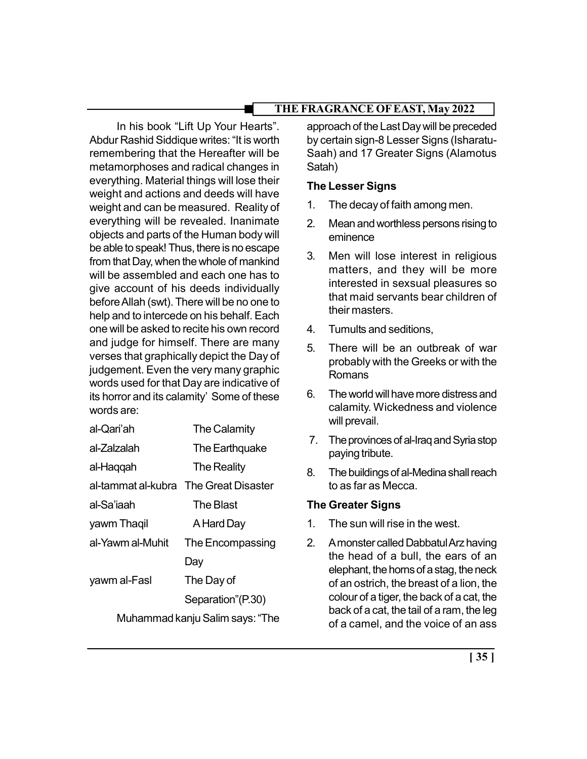In his book "Lift Up Your Hearts". Abdur Rashid Siddique writes: "It is worth remembering that the Hereafter will be metamorphoses and radical changes in everything. Material things will lose their weight and actions and deeds will have weight and can be measured. Reality of everything will be revealed. Inanimate objects and parts of the Human body will be able to speak! Thus, there is no escape from that Day, when the whole of mankind will be assembled and each one has to give account of his deeds individually before Allah (swt). There will be no one to help and to intercede on his behalf. Each one will be asked to recite his own record and judge for himself. There are many verses that graphically depict the Day of judgement. Even the very many graphic words used for that Day are indicative of its horror and its calamity' Some of these words are:

| al-Qari'ah                      | <b>The Calamity</b>                   |
|---------------------------------|---------------------------------------|
| al-Zalzalah                     | The Earthquake                        |
| al-Haqqah                       | The Reality                           |
|                                 | al-tammat al-kubra The Great Disaster |
| al-Sa'iaah                      | The Blast                             |
| yawm Thagil                     | A Hard Day                            |
| al-Yawm al-Muhit                | The Encompassing                      |
|                                 | Day                                   |
| yawm al-Fasl                    | The Day of                            |
|                                 | Separation"(P.30)                     |
| Muhammad kanju Salim says: "The |                                       |

approach of the Last Day will be preceded by certain sign-8 Lesser Signs (Isharatu-Saah) and 17 Greater Signs (Alamotus Satah)

# The Lesser Signs

- 1. The decay of faith among men.
- 2. Mean and worthless persons rising to eminence
- 3. Men will lose interest in religious matters, and they will be more interested in sexsual pleasures so that maid servants bear children of their masters.
- 4. Tumults and seditions,
- 5. There will be an outbreak of war probably with the Greeks or with the Romans
- 6. The world will have more distress and calamity. Wickedness and violence will prevail.
- 7. The provinces of al-Iraq and Syria stop paying tribute.
- 8. The buildings of al-Medina shall reach to as far as Mecca.

## The Greater Signs

- 1. The sun will rise in the west.
- 2. A monster called Dabbatul Arz having the head of a bull, the ears of an elephant, the horns of a stag, the neck of an ostrich, the breast of a lion, the colour of a tiger, the back of a cat, the back of a cat, the tail of a ram, the leg of a camel, and the voice of an ass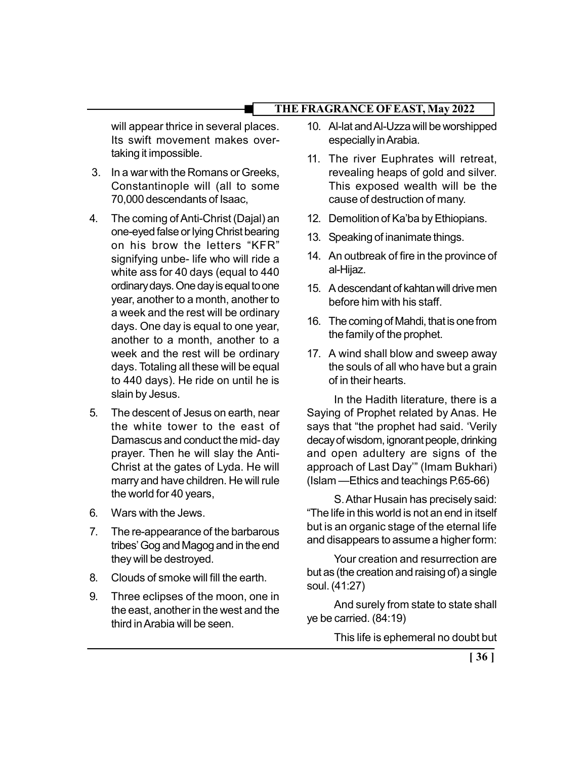will appear thrice in several places. Its swift movement makes overtaking it impossible.

- 3. In a war with the Romans or Greeks, Constantinople will (all to some 70,000 descendants of Isaac,
- 4. The coming of Anti-Christ (Dajal) an one-eyed false or lying Christ bearing on his brow the letters "KFR" signifying unbe- life who will ride a white ass for 40 days (equal to 440 ordinary days. One day is equal to one year, another to a month, another to a week and the rest will be ordinary days. One day is equal to one year, another to a month, another to a week and the rest will be ordinary days. Totaling all these will be equal to 440 days). He ride on until he is slain by Jesus.
- 5. The descent of Jesus on earth, near the white tower to the east of Damascus and conduct the mid- day prayer. Then he will slay the Anti-Christ at the gates of Lyda. He will marry and have children. He will rule the world for 40 years,
- 6. Wars with the Jews.
- 7. The re-appearance of the barbarous tribes' Gog and Magog and in the end they will be destroyed.
- 8. Clouds of smoke will fill the earth.
- 9. Three eclipses of the moon, one in the east, another in the west and the third in Arabia will be seen.
- 10. Al-lat and Al-Uzza will be worshipped especially in Arabia.
- 11. The river Euphrates will retreat, revealing heaps of gold and silver. This exposed wealth will be the cause of destruction of many.
- 12. Demolition of Ka'ba by Ethiopians.
- 13. Speaking of inanimate things.
- 14. An outbreak of fire in the province of al-Hijaz.
- 15. A descendant of kahtan will drive men before him with his staff.
- 16. The coming of Mahdi, that is one from the family of the prophet.
- 17. A wind shall blow and sweep away the souls of all who have but a grain of in their hearts.

In the Hadith literature, there is a Saying of Prophet related by Anas. He says that "the prophet had said. 'Verily decay of wisdom, ignorant people, drinking and open adultery are signs of the approach of Last Day'" (Imam Bukhari) (Islam —Ethics and teachings P.65-66)

S. Athar Husain has precisely said: "The life in this world is not an end in itself but is an organic stage of the eternal life and disappears to assume a higher form:

Your creation and resurrection are but as (the creation and raising of) a single soul. (41:27)

And surely from state to state shall ye be carried. (84:19)

This life is ephemeral no doubt but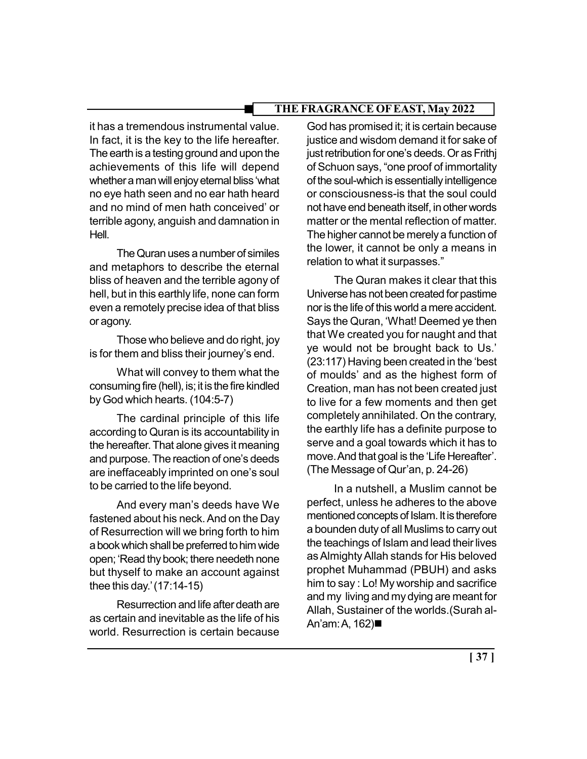it has a tremendous instrumental value. In fact, it is the key to the life hereafter. The earth is a testing ground and upon the achievements of this life will depend whether a man will enjoy eternal bliss 'what no eye hath seen and no ear hath heard and no mind of men hath conceived' or terrible agony, anguish and damnation in Hell.

The Quran uses a number of similes and metaphors to describe the eternal bliss of heaven and the terrible agony of hell, but in this earthly life, none can form even a remotely precise idea of that bliss or agony.

Those who believe and do right, joy is for them and bliss their journey's end.

What will convey to them what the consuming fire (hell), is; it is the fire kindled by God which hearts. (104:5-7)

The cardinal principle of this life according to Quran is its accountability in the hereafter. That alone gives it meaning and purpose. The reaction of one's deeds are ineffaceably imprinted on one's soul to be carried to the life beyond.

And every man's deeds have We fastened about his neck. And on the Day of Resurrection will we bring forth to him a book which shall be preferred to him wide open; 'Read thy book; there needeth none but thyself to make an account against thee this day.' (17:14-15)

Resurrection and life after death are as certain and inevitable as the life of his world. Resurrection is certain because

God has promised it; it is certain because justice and wisdom demand it for sake of just retribution for one's deeds. Or as Frithj of Schuon says, "one proof of immortality of the soul-which is essentially intelligence or consciousness-is that the soul could not have end beneath itself, in other words matter or the mental reflection of matter. The higher cannot be merely a function of the lower, it cannot be only a means in relation to what it surpasses."

The Quran makes it clear that this Universe has not been created for pastime nor is the life of this world a mere accident. Says the Quran, 'What! Deemed ye then that We created you for naught and that ye would not be brought back to Us.' (23:117) Having been created in the 'best of moulds' and as the highest form of Creation, man has not been created just to live for a few moments and then get completely annihilated. On the contrary, the earthly life has a definite purpose to serve and a goal towards which it has to move. And that goal is the 'Life Hereafter'. (The Message of Qur'an, p. 24-26)

In a nutshell, a Muslim cannot be perfect, unless he adheres to the above mentioned concepts of Islam. It is therefore a bounden duty of all Muslims to carry out the teachings of Islam and lead their lives as Almighty Allah stands for His beloved prophet Muhammad (PBUH) and asks him to say : Lo! My worship and sacrifice and my living and my dying are meant for Allah, Sustainer of the worlds.(Surah al-An'am: A, 162)■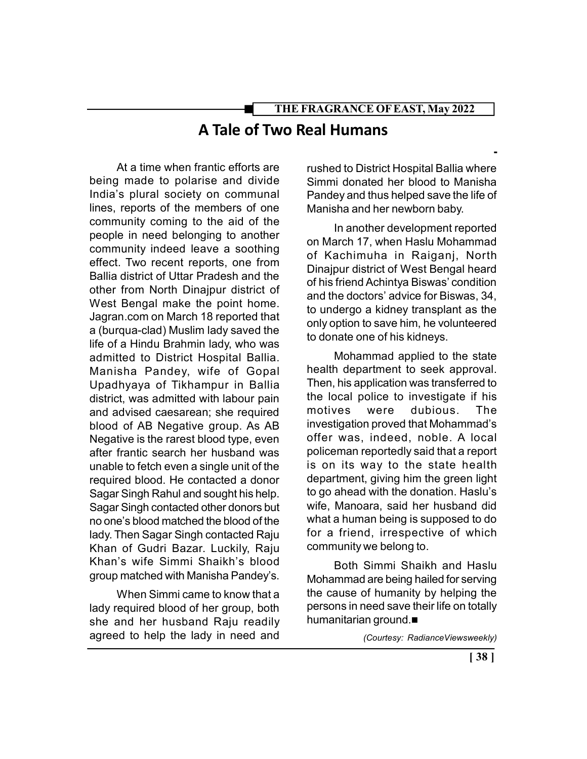# THE FRAGRANCE OF EAST, May 2022 A Tale of Two Real Humans

At a time when frantic efforts are being made to polarise and divide India's plural society on communal lines, reports of the members of one community coming to the aid of the people in need belonging to another community indeed leave a soothing effect. Two recent reports, one from Ballia district of Uttar Pradesh and the other from North Dinajpur district of West Bengal make the point home. Jagran.com on March 18 reported that a (burqua-clad) Muslim lady saved the life of a Hindu Brahmin lady, who was admitted to District Hospital Ballia. Manisha Pandey, wife of Gopal Upadhyaya of Tikhampur in Ballia district, was admitted with labour pain and advised caesarean; she required blood of AB Negative group. As AB Negative is the rarest blood type, even after frantic search her husband was unable to fetch even a single unit of the required blood. He contacted a donor Sagar Singh Rahul and sought his help. Sagar Singh contacted other donors but no one's blood matched the blood of the lady. Then Sagar Singh contacted Raju Khan of Gudri Bazar. Luckily, Raju Khan's wife Simmi Shaikh's blood group matched with Manisha Pandey's.

When Simmi came to know that a lady required blood of her group, both she and her husband Raju readily agreed to help the lady in need and

rushed to District Hospital Ballia where Simmi donated her blood to Manisha Pandey and thus helped save the life of Manisha and her newborn baby.

-

In another development reported on March 17, when Haslu Mohammad of Kachimuha in Raiganj, North Dinajpur district of West Bengal heard of his friend Achintya Biswas' condition and the doctors' advice for Biswas, 34, to undergo a kidney transplant as the only option to save him, he volunteered to donate one of his kidneys.

Mohammad applied to the state health department to seek approval. Then, his application was transferred to the local police to investigate if his motives were dubious. The investigation proved that Mohammad's offer was, indeed, noble. A local policeman reportedly said that a report is on its way to the state health department, giving him the green light to go ahead with the donation. Haslu's wife, Manoara, said her husband did what a human being is supposed to do for a friend, irrespective of which community we belong to.

Both Simmi Shaikh and Haslu Mohammad are being hailed for serving the cause of humanity by helping the persons in need save their life on totally humanitarian ground.

(Courtesy: RadianceViewsweekly)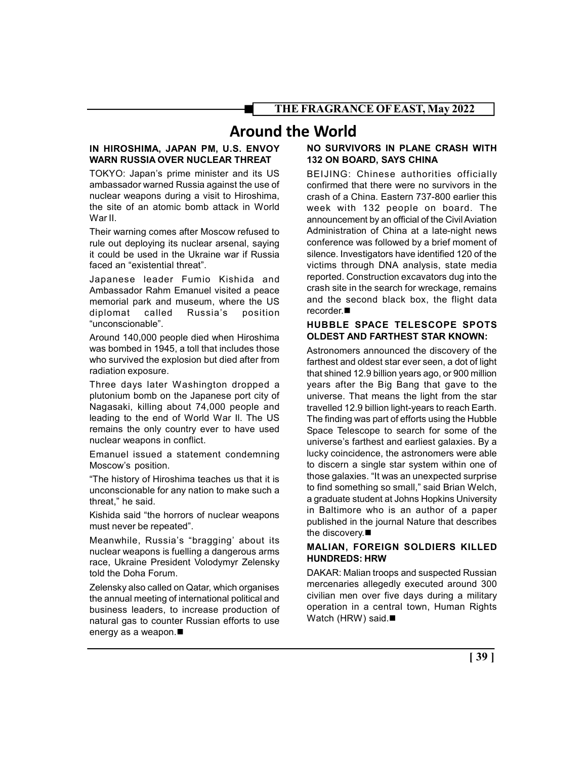# Around the World

#### IN HIROSHIMA, JAPAN PM, U.S. ENVOY WARN RUSSIA OVER NUCLEAR THREAT

TOKYO: Japan's prime minister and its US ambassador warned Russia against the use of nuclear weapons during a visit to Hiroshima, the site of an atomic bomb attack in World War II.

Their warning comes after Moscow refused to rule out deploying its nuclear arsenal, saying it could be used in the Ukraine war if Russia faced an "existential threat".

Japanese leader Fumio Kishida and Ambassador Rahm Emanuel visited a peace memorial park and museum, where the US diplomat called Russia's position "unconscionable".

Around 140,000 people died when Hiroshima was bombed in 1945, a toll that includes those who survived the explosion but died after from radiation exposure.

Three days later Washington dropped a plutonium bomb on the Japanese port city of Nagasaki, killing about 74,000 people and leading to the end of World War Il. The US remains the only country ever to have used nuclear weapons in conflict.

Emanuel issued a statement condemning Moscow's position.

"The history of Hiroshima teaches us that it is unconscionable for any nation to make such a threat," he said.

Kishida said "the horrors of nuclear weapons must never be repeated".

Meanwhile, Russia's "bragging' about its nuclear weapons is fuelling a dangerous arms race, Ukraine President Volodymyr Zelensky told the Doha Forum.

Zelensky also called on Qatar, which organises the annual meeting of international political and business leaders, to increase production of natural gas to counter Russian efforts to use energy as a weapon.

#### NO SURVIVORS IN PLANE CRASH WITH 132 ON BOARD, SAYS CHINA

BEIJING: Chinese authorities officially confirmed that there were no survivors in the crash of a China. Eastern 737-800 earlier this week with 132 people on board. The announcement by an official of the Civil Aviation Administration of China at a late-night news conference was followed by a brief moment of silence. Investigators have identified 120 of the victims through DNA analysis, state media reported. Construction excavators dug into the crash site in the search for wreckage, remains and the second black box, the flight data recorder.

#### HUBBLE SPACE TELESCOPE SPOTS OLDEST AND FARTHEST STAR KNOWN:

Astronomers announced the discovery of the farthest and oldest star ever seen, a dot of light that shined 12.9 billion years ago, or 900 million years after the Big Bang that gave to the universe. That means the light from the star travelled 12.9 billion light-years to reach Earth. The finding was part of efforts using the Hubble Space Telescope to search for some of the universe's farthest and earliest galaxies. By a lucky coincidence, the astronomers were able to discern a single star system within one of those galaxies. "It was an unexpected surprise to find something so small," said Brian Welch, a graduate student at Johns Hopkins University in Baltimore who is an author of a paper published in the journal Nature that describes the discovery.

#### MALIAN, FOREIGN SOLDIERS KILLED HUNDREDS: HRW

DAKAR: Malian troops and suspected Russian mercenaries allegedly executed around 300 civilian men over five days during a military operation in a central town, Human Rights Watch (HRW) said.■